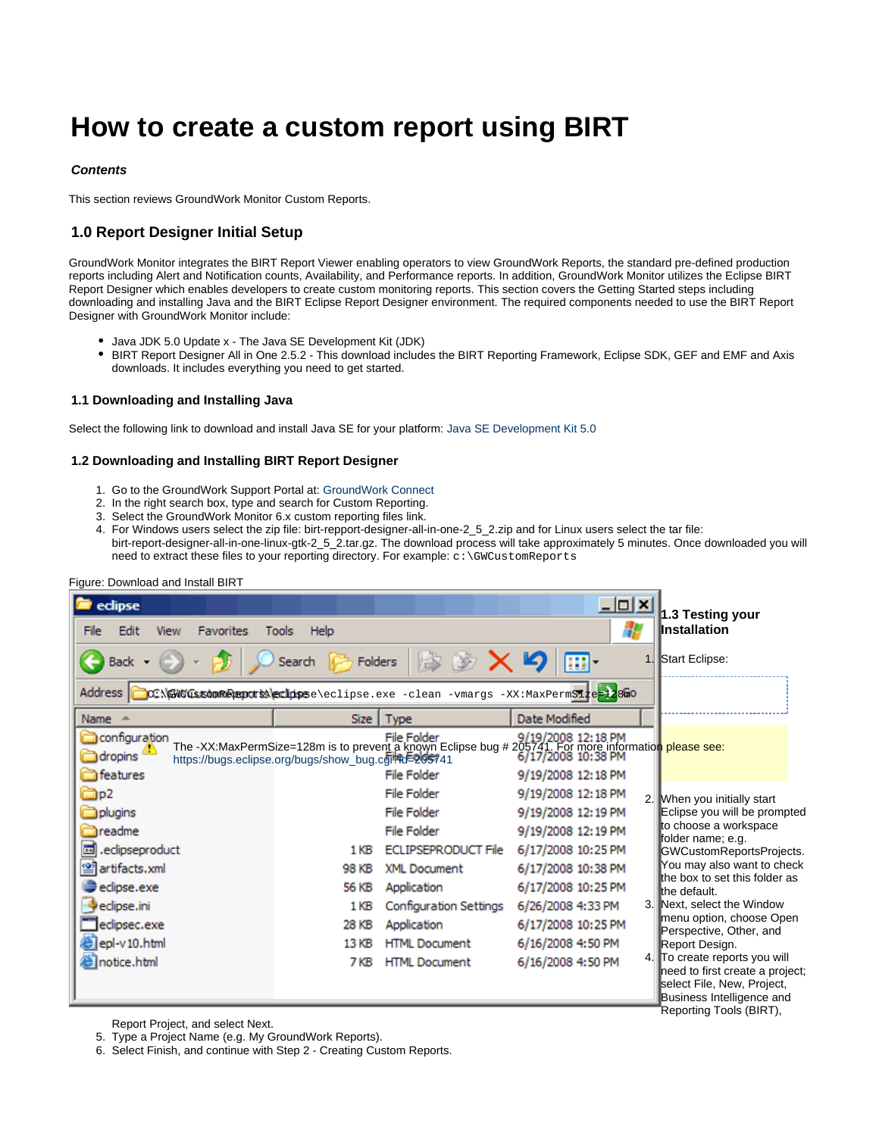# **How to create a custom report using BIRT**

# **Contents**

This section reviews GroundWork Monitor Custom Reports.

# **1.0 Report Designer Initial Setup**

GroundWork Monitor integrates the BIRT Report Viewer enabling operators to view GroundWork Reports, the standard pre-defined production reports including Alert and Notification counts, Availability, and Performance reports. In addition, GroundWork Monitor utilizes the Eclipse BIRT Report Designer which enables developers to create custom monitoring reports. This section covers the Getting Started steps including downloading and installing Java and the BIRT Eclipse Report Designer environment. The required components needed to use the BIRT Report Designer with GroundWork Monitor include:

- Java JDK 5.0 Update x The Java SE Development Kit (JDK)
- BIRT Report Designer All in One 2.5.2 This download includes the BIRT Reporting Framework, Eclipse SDK, GEF and EMF and Axis downloads. It includes everything you need to get started.

## **1.1 Downloading and Installing Java**

Select the following link to download and install Java SE for your platform: [Java SE Development Kit 5.0](http://www.oracle.com/technetwork/java/javasebusiness/downloads/java-archive-downloads-javase5-419410.html#jdk-1.5.0_22-oth-JPR)

#### **1.2 Downloading and Installing BIRT Report Designer**

- 1. Go to the GroundWork Support Portal at: [GroundWork Connect](http://support.groundworkopensource.com)
- 2. In the right search box, type and search for Custom Reporting.
- 3. Select the GroundWork Monitor 6.x custom reporting files link.
- 4. For Windows users select the zip file: birt-repport-designer-all-in-one-2\_5\_2.zip and for Linux users select the tar file: birt-report-designer-all-in-one-linux-gtk-2\_5\_2.tar.gz. The download process will take approximately 5 minutes. Once downloaded you will need to extract these files to your reporting directory. For example:  $c:\GwCustomReports$

| eclipse<br>Edit<br><b>Favorites</b><br><b>View</b><br>File<br>Back + | Help<br><b>Tools</b><br>Folders<br>Search                                                                                                                                                                                                                                                 | _  미 ×<br>1.                                                         | 1.3 Testing your<br>Installation<br>Start Eclipse:                                                                                                                    |
|----------------------------------------------------------------------|-------------------------------------------------------------------------------------------------------------------------------------------------------------------------------------------------------------------------------------------------------------------------------------------|----------------------------------------------------------------------|-----------------------------------------------------------------------------------------------------------------------------------------------------------------------|
| Address  <br>Name $\triangle$                                        | CCX GWO GAstomRegancts extingese \eclipse.exe - clean - vmargs - XX: MaxPermS1ze=128a0<br>Type<br>Size                                                                                                                                                                                    | Date Modified                                                        |                                                                                                                                                                       |
| configuration<br>dropins <sup>1</sup><br>features                    | File Folder 9/19/2008 12:18 PM<br>The -XX:MaxPermSize=128m is to prevent a known Eclipse bug # 205741. For more information please see:<br>https://bugs.eclipse.org/bugs/show_bug.com/#d=205741 6/17/2008 10:38 PM<br>https://bugs.eclipse.org/bugs/show_bug.cgilfd=205741<br>File Folder | 9/19/2008 12:18 PM                                                   |                                                                                                                                                                       |
| Op2<br>plugins<br><b>I</b> readme                                    | <b>File Folder</b><br>File Folder<br>File Folder                                                                                                                                                                                                                                          | 9/19/2008 12:18 PM<br>2.<br>9/19/2008 12:19 PM<br>9/19/2008 12:19 PM | When you initially start<br>Eclipse you will be prompted<br>to choose a workspace                                                                                     |
| 囩<br>.edipseproduct<br><sup>2</sup> artifacts.xml                    | <b>ECLIPSEPRODUCT File</b><br>1 KB<br><b>XML Document</b><br>98 KB                                                                                                                                                                                                                        | 6/17/2008 10:25 PM<br>6/17/2008 10:38 PM                             | folder name; e.g.<br>GWCustomReportsProjects.<br>You may also want to check<br>the box to set this folder as                                                          |
| eclipse.exe<br>eclipse.ini<br>eclipsec.exe                           | Application<br>56 KB<br>Configuration Settings<br>1 <sub>KB</sub><br>28 KB<br>Application                                                                                                                                                                                                 | 6/17/2008 10:25 PM<br>6/26/2008 4:33 PM<br>6/17/2008 10:25 PM        | the default.<br>3. Next, select the Window<br>menu option, choose Open<br>Perspective, Other, and                                                                     |
| elepl-v10.html<br>notice.html                                        | <b>HTML Document</b><br>13 KB<br><b>HTML Document</b><br>7 KB                                                                                                                                                                                                                             | 6/16/2008 4:50 PM<br>4.<br>6/16/2008 4:50 PM                         | Report Design.<br>To create reports you will<br>need to first create a project;<br>select File, New, Project,<br>Business Intelligence and<br>Reporting Tools (BIRT), |

Figure: Download and Install BIRT

Report Project, and select Next.

5. Type a Project Name (e.g. My GroundWork Reports).

6. Select Finish, and continue with Step 2 - Creating Custom Reports.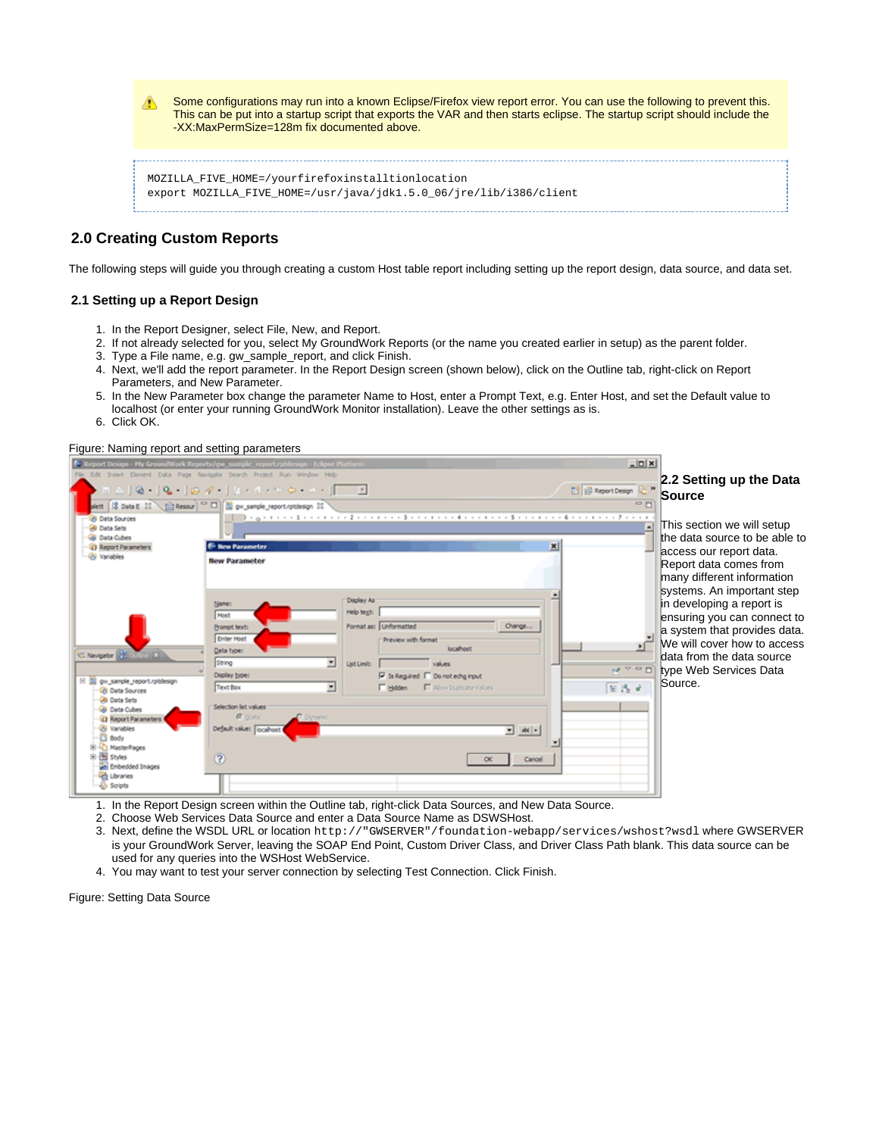⚠ Some configurations may run into a known Eclipse/Firefox view report error. You can use the following to prevent this. This can be put into a startup script that exports the VAR and then starts eclipse. The startup script should include the -XX:MaxPermSize=128m fix documented above. MOZILLA\_FIVE\_HOME=/yourfirefoxinstalltionlocation export MOZILLA\_FIVE\_HOME=/usr/java/jdk1.5.0\_06/jre/lib/i386/client

# **2.0 Creating Custom Reports**

The following steps will guide you through creating a custom Host table report including setting up the report design, data source, and data set.

## **2.1 Setting up a Report Design**

- 1. In the Report Designer, select File, New, and Report.
- 2. If not already selected for you, select My GroundWork Reports (or the name you created earlier in setup) as the parent folder. 3. Type a File name, e.g. gw\_sample\_report, and click Finish.
- 4. Next, we'll add the report parameter. In the Report Design screen (shown below), click on the Outline tab, right-click on Report Parameters, and New Parameter.
- 5. In the New Parameter box change the parameter Name to Host, enter a Prompt Text, e.g. Enter Host, and set the Default value to localhost (or enter your running GroundWork Monitor installation). Leave the other settings as is.
- 6. Click OK.

#### Figure: Naming report and setting parameters



- 1. In the Report Design screen within the Outline tab, right-click Data Sources, and New Data Source.
- 2. Choose Web Services Data Source and enter a Data Source Name as DSWSHost.
- 3. Next, define the WSDL URL or location http://"GWSERVER"/foundation-webapp/services/wshost?wsdl where GWSERVER is your GroundWork Server, leaving the SOAP End Point, Custom Driver Class, and Driver Class Path blank. This data source can be used for any queries into the WSHost WebService.
- 4. You may want to test your server connection by selecting Test Connection. Click Finish.

Figure: Setting Data Source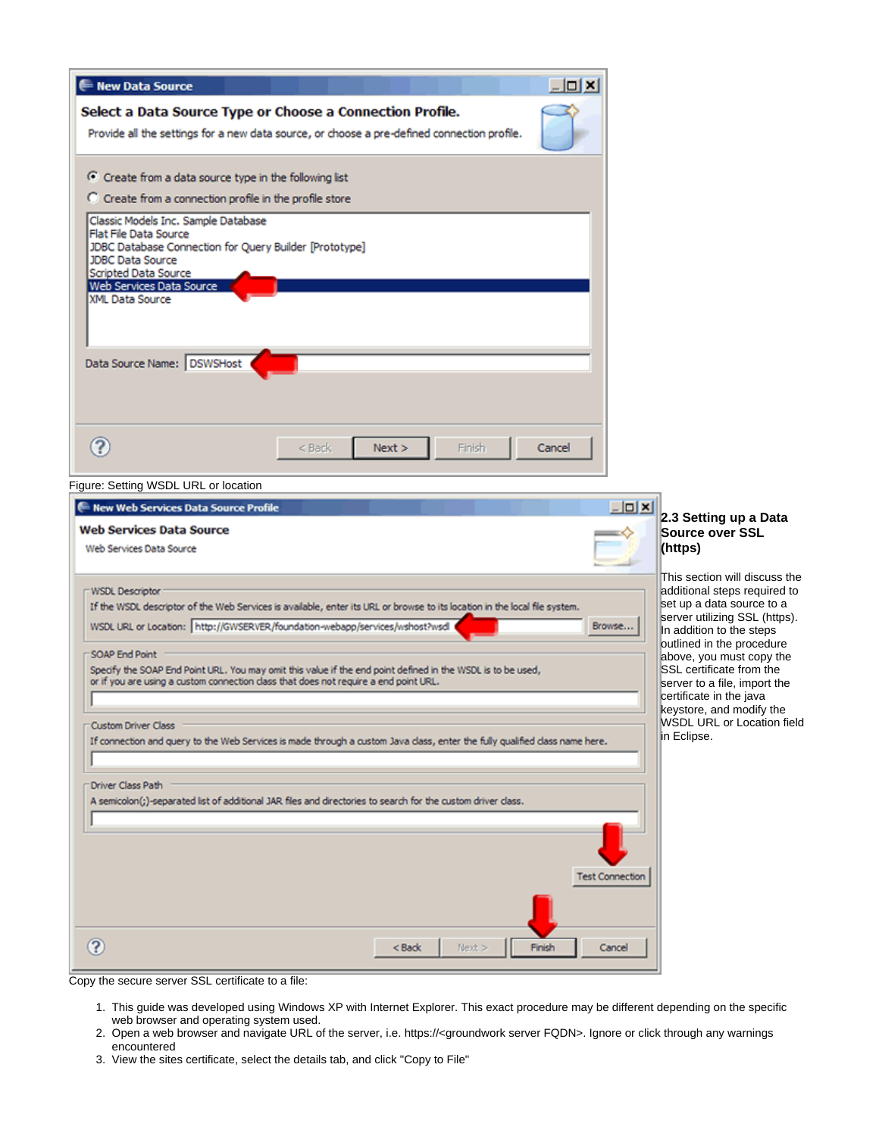| - New Data Source                                                                                                                                                                                   | $ \Box$ $\times$       |
|-----------------------------------------------------------------------------------------------------------------------------------------------------------------------------------------------------|------------------------|
| Select a Data Source Type or Choose a Connection Profile.                                                                                                                                           |                        |
| Provide all the settings for a new data source, or choose a pre-defined connection profile.                                                                                                         |                        |
| C Create from a data source type in the following list                                                                                                                                              |                        |
| C Create from a connection profile in the profile store                                                                                                                                             |                        |
| Classic Models Inc. Sample Database                                                                                                                                                                 |                        |
| Flat File Data Source<br>JDBC Database Connection for Query Builder [Prototype]                                                                                                                     |                        |
| <b>JDBC Data Source</b><br>Scripted Data Source                                                                                                                                                     |                        |
| Web Services Data Source<br>XML Data Source                                                                                                                                                         |                        |
|                                                                                                                                                                                                     |                        |
|                                                                                                                                                                                                     |                        |
| Data Source Name: DSWSHost                                                                                                                                                                          |                        |
|                                                                                                                                                                                                     |                        |
|                                                                                                                                                                                                     |                        |
| $\left( 2\right)$<br>Next ><br>$<$ Back                                                                                                                                                             | Cancel                 |
| Finish                                                                                                                                                                                              |                        |
| Figure: Setting WSDL URL or location                                                                                                                                                                |                        |
| New Web Services Data Source Profile                                                                                                                                                                | $  D $ $\times$<br>2   |
| <b>Web Services Data Source</b>                                                                                                                                                                     | S                      |
| Web Services Data Source                                                                                                                                                                            | (I                     |
| WSDL Descriptor                                                                                                                                                                                     | IΤI<br>la              |
| If the WSDL descriptor of the Web Services is available, enter its URL or browse to its location in the local file system.                                                                          | S6                     |
| WSDL URL or Location: http://GWSERVER/foundation-webapp/services/wshost?wsdl                                                                                                                        | S6<br>Browse<br>In     |
| SOAP End Point                                                                                                                                                                                      | lo<br>al               |
| Specify the SOAP End Point URL. You may omit this value if the end point defined in the WSDL is to be used,<br>or if you are using a custom connection class that does not require a end point URL. | S<br>S6                |
|                                                                                                                                                                                                     | CΘ<br>lk               |
| <b>Custom Driver Class</b>                                                                                                                                                                          | M<br>∣in               |
| If connection and query to the Web Services is made through a custom Java class, enter the fully qualified class name here.                                                                         |                        |
| Driver Class Path                                                                                                                                                                                   |                        |
| A semicolon(;)-separated list of additional JAR files and directories to search for the custom driver class.                                                                                        |                        |
|                                                                                                                                                                                                     |                        |
|                                                                                                                                                                                                     |                        |
|                                                                                                                                                                                                     | <b>Test Connection</b> |
|                                                                                                                                                                                                     |                        |
|                                                                                                                                                                                                     |                        |
|                                                                                                                                                                                                     |                        |
| 3<br>Next<br>< Back                                                                                                                                                                                 | Finish<br>Cancel       |

# **2.3 Setting up a Data Source over SSL (https)**

his section will discuss the dditional steps required to set up a data source to a erver utilizing SSL (https). addition to the steps utlined in the procedure above, you must copy the SSL certificate from the erver to a file, import the ertificate in the java eystore, and modify the WSDL URL or Location field Eclipse.

Copy the secure server SSL certificate to a file:

- 1. This guide was developed using Windows XP with Internet Explorer. This exact procedure may be different depending on the specific web browser and operating system used.
- 2. Open a web browser and navigate URL of the server, i.e. https://<groundwork server FQDN>. Ignore or click through any warnings encountered
- 3. View the sites certificate, select the details tab, and click "Copy to File"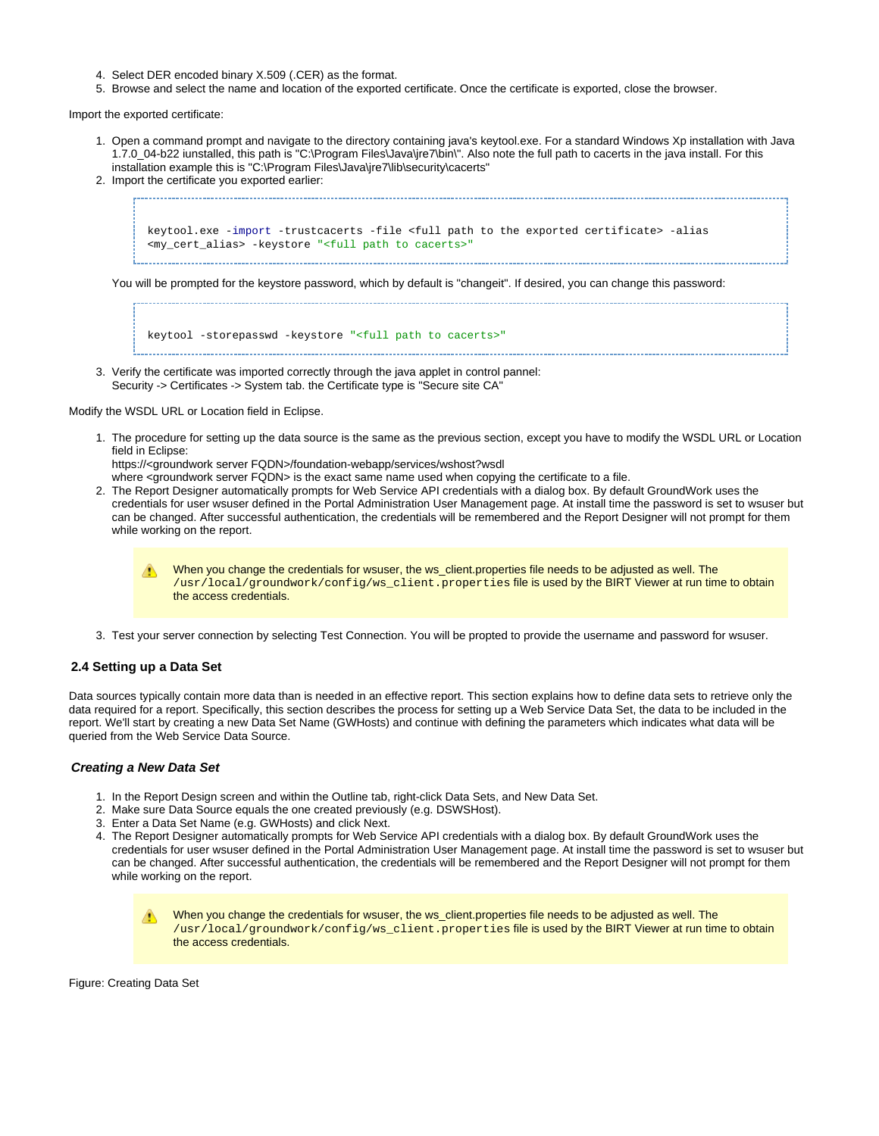- 4. Select DER encoded binary X.509 (.CER) as the format.
- 5. Browse and select the name and location of the exported certificate. Once the certificate is exported, close the browser.

Import the exported certificate:

- 1. Open a command prompt and navigate to the directory containing java's keytool.exe. For a standard Windows Xp installation with Java 1.7.0\_04-b22 iunstalled, this path is "C:\Program Files\Java\jre7\bin\". Also note the full path to cacerts in the java install. For this installation example this is "C:\Program Files\Java\jre7\lib\security\cacerts"
- 2. Import the certificate you exported earlier:

keytool.exe -import -trustcacerts -file <full path to the exported certificate> -alias <my\_cert\_alias> -keystore "<full path to cacerts>"

You will be prompted for the keystore password, which by default is "changeit". If desired, you can change this password:

keytool -storepasswd -keystore "<full path to cacerts>"

3. Verify the certificate was imported correctly through the java applet in control pannel: Security -> Certificates -> System tab. the Certificate type is "Secure site CA"

Modify the WSDL URL or Location field in Eclipse.

1. The procedure for setting up the data source is the same as the previous section, except you have to modify the WSDL URL or Location field in Eclipse:

https://<groundwork server FQDN>/foundation-webapp/services/wshost?wsdl

- where <groundwork server FQDN> is the exact same name used when copying the certificate to a file.
- 2. The Report Designer automatically prompts for Web Service API credentials with a dialog box. By default GroundWork uses the credentials for user wsuser defined in the Portal Administration User Management page. At install time the password is set to wsuser but can be changed. After successful authentication, the credentials will be remembered and the Report Designer will not prompt for them while working on the report.
	- When you change the credentials for wsuser, the ws\_client.properties file needs to be adjusted as well. The /usr/local/groundwork/config/ws\_client.properties file is used by the BIRT Viewer at run time to obtain the access credentials.
- 3. Test your server connection by selecting Test Connection. You will be propted to provide the username and password for wsuser.

#### **2.4 Setting up a Data Set**

Data sources typically contain more data than is needed in an effective report. This section explains how to define data sets to retrieve only the data required for a report. Specifically, this section describes the process for setting up a Web Service Data Set, the data to be included in the report. We'll start by creating a new Data Set Name (GWHosts) and continue with defining the parameters which indicates what data will be queried from the Web Service Data Source.

#### **Creating a New Data Set**

- 1. In the Report Design screen and within the Outline tab, right-click Data Sets, and New Data Set.
- 2. Make sure Data Source equals the one created previously (e.g. DSWSHost).
- 3. Enter a Data Set Name (e.g. GWHosts) and click Next.
- 4. The Report Designer automatically prompts for Web Service API credentials with a dialog box. By default GroundWork uses the credentials for user wsuser defined in the Portal Administration User Management page. At install time the password is set to wsuser but can be changed. After successful authentication, the credentials will be remembered and the Report Designer will not prompt for them while working on the report.

When you change the credentials for wsuser, the ws\_client.properties file needs to be adjusted as well. The А /usr/local/groundwork/config/ws\_client.properties file is used by the BIRT Viewer at run time to obtain the access credentials.

Figure: Creating Data Set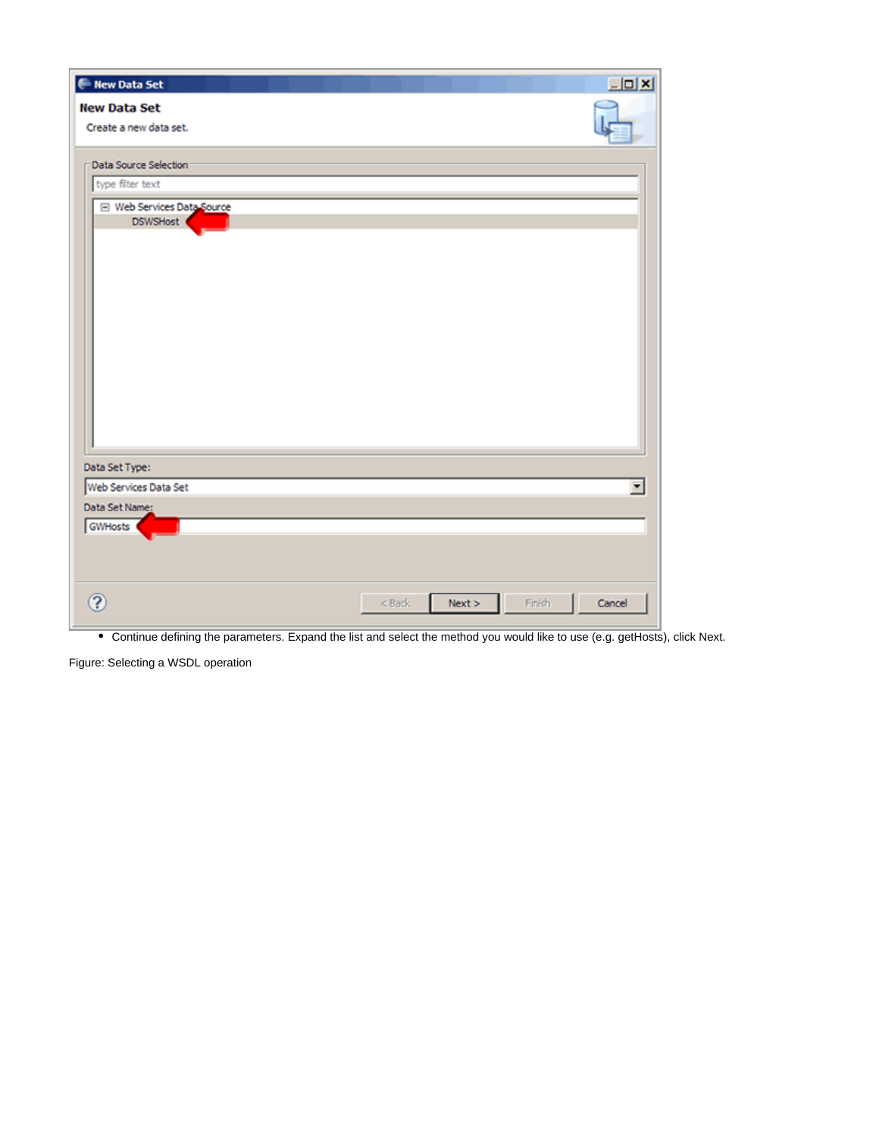| Mew Data Set                                  |                    | $L = 1$          |
|-----------------------------------------------|--------------------|------------------|
| <b>New Data Set</b>                           |                    |                  |
| Create a new data set.                        |                    |                  |
| Data Source Selection                         |                    |                  |
|                                               |                    |                  |
| type filter text                              |                    |                  |
| □ Web Services Data Source<br><b>DSWSHost</b> |                    |                  |
|                                               |                    |                  |
| Data Set Type:<br>Web Services Data Set       |                    | ▼                |
|                                               |                    |                  |
| Data Set Name:<br>GWHosts                     |                    |                  |
| 3                                             | $<$ Back<br>Next > | Finish<br>Cancel |

Continue defining the parameters. Expand the list and select the method you would like to use (e.g. getHosts), click Next.

Figure: Selecting a WSDL operation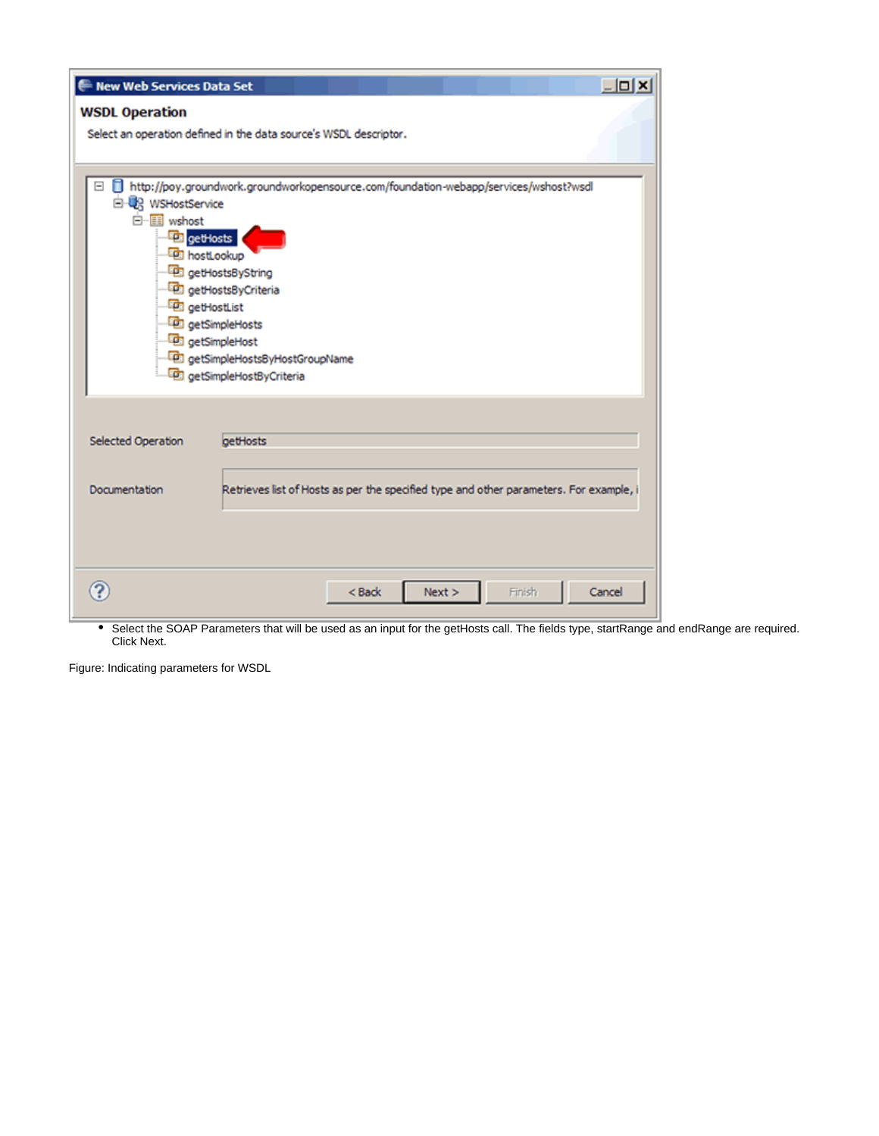| <b>New Web Services Data Set</b> | $ \Box$ $\times$                                                                       |
|----------------------------------|----------------------------------------------------------------------------------------|
| <b>WSDL Operation</b>            |                                                                                        |
|                                  | Select an operation defined in the data source's WSDL descriptor.                      |
|                                  |                                                                                        |
|                                  |                                                                                        |
| Ξ<br>E UR WSHostService          | http://poy.groundwork.groundworkopensource.com/foundation-webapp/services/wshost?wsdl  |
| □ Wshost                         |                                                                                        |
| <b>Fall</b> getHosts             |                                                                                        |
|                                  | <b>For</b> hostLookup                                                                  |
|                                  | getHostsByString                                                                       |
|                                  | getHostsByCriteria                                                                     |
|                                  | <b>ED</b> getHostList<br>getSimpleHosts                                                |
|                                  | <b>D</b> getSimpleHost                                                                 |
|                                  | compleHostsByHostGroupName                                                             |
|                                  | con getSimpleHostByCriteria                                                            |
|                                  |                                                                                        |
|                                  |                                                                                        |
| <b>Selected Operation</b>        | getHosts                                                                               |
|                                  |                                                                                        |
| Documentation                    | Retrieves list of Hosts as per the specified type and other parameters. For example, i |
|                                  |                                                                                        |
|                                  |                                                                                        |
|                                  |                                                                                        |
|                                  |                                                                                        |
|                                  | Finish<br>< Back<br>Next ><br>Cancel                                                   |
|                                  |                                                                                        |

Select the SOAP Parameters that will be used as an input for the getHosts call. The fields type, startRange and endRange are required. Click Next.

Figure: Indicating parameters for WSDL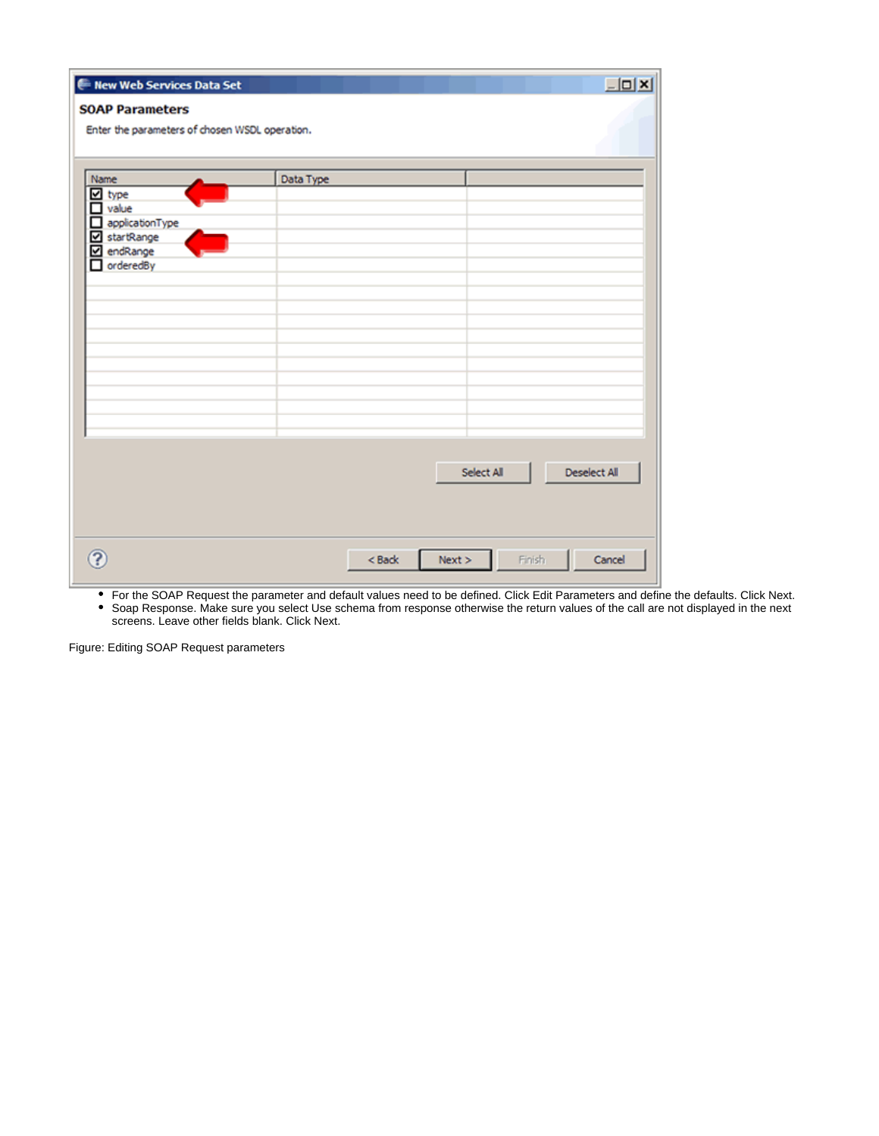| New Web Services Data Set                                                                          | $\Box$ D $\Box$                                                              |
|----------------------------------------------------------------------------------------------------|------------------------------------------------------------------------------|
| <b>SOAP Parameters</b><br>Enter the parameters of chosen WSDL operation.                           |                                                                              |
| Name<br>$\Box$ type<br>$\Box$ value<br>applicationType<br>startRange<br>endRange<br>⊽<br>orderedBy | Data Type                                                                    |
| $\overline{?}$                                                                                     | <b>Deselect All</b><br>Select All<br>Finish.<br>Next > 0<br>Cancel<br>< Back |

For the SOAP Request the parameter and default values need to be defined. Click Edit Parameters and define the defaults. Click Next.

Soap Response. Make sure you select Use schema from response otherwise the return values of the call are not displayed in the next screens. Leave other fields blank. Click Next.

Figure: Editing SOAP Request parameters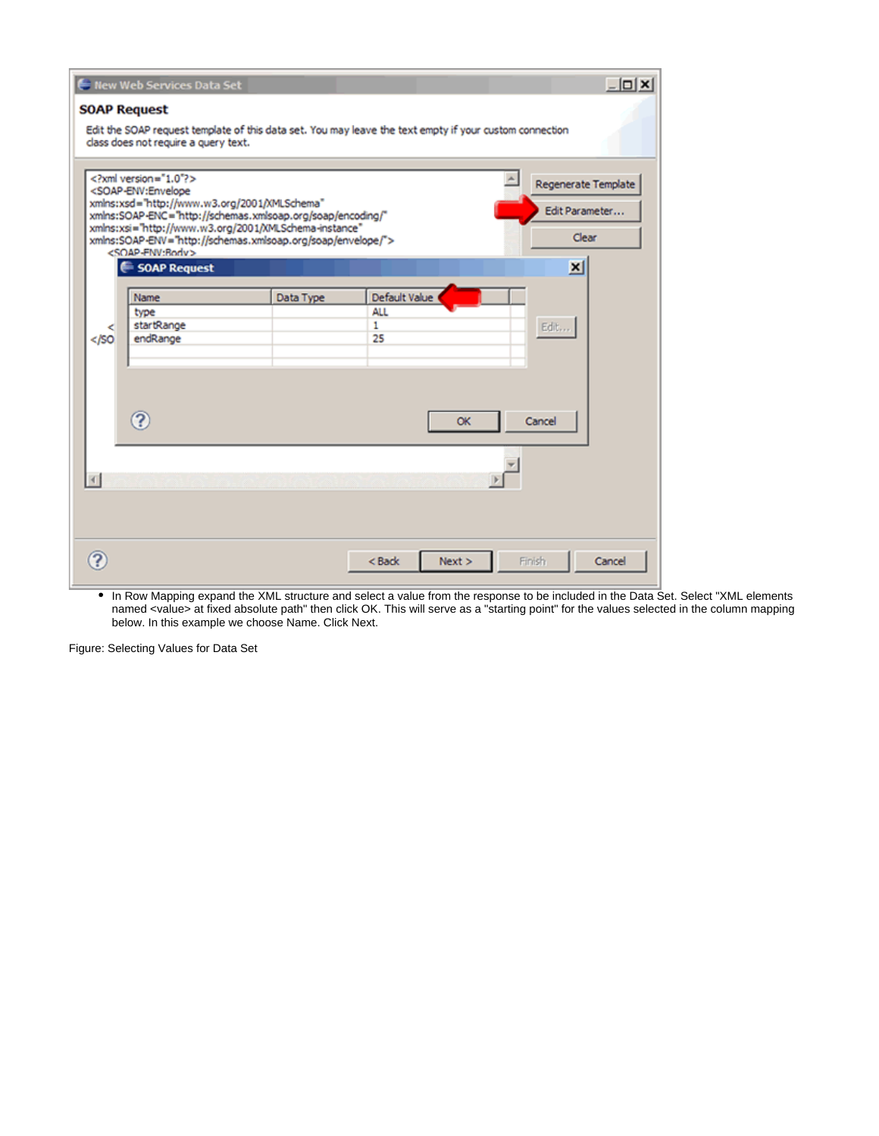|                     | Hew Web Services Data Set                                                                                                                                                                                                                                                                                                                                                 |           |                    | $   \times$                                                       |
|---------------------|---------------------------------------------------------------------------------------------------------------------------------------------------------------------------------------------------------------------------------------------------------------------------------------------------------------------------------------------------------------------------|-----------|--------------------|-------------------------------------------------------------------|
| <b>SOAP Request</b> |                                                                                                                                                                                                                                                                                                                                                                           |           |                    |                                                                   |
|                     | Edit the SOAP request template of this data set. You may leave the text empty if your custom connection<br>class does not require a query text.                                                                                                                                                                                                                           |           |                    |                                                                   |
|                     | xml version="1.0"?<br><soap-env:envelope<br>xmlns:xsd="http://www.w3.org/2001/XMLSchema"<br/>xmlns:SOAP-ENC="http://schemas.xmlsoap.org/soap/encoding/"<br/>xmlns:xsi="http://www.w3.org/2001/XMLSchema-instance"<br/>xmlns:SOAP-ENV="http://schemas.xmlsoap.org/soap/envelope/"&gt;<br/><soap-fnv:rody><br/><b>∈ SOAP Request</b></soap-fnv:rody></soap-env:envelope<br> |           |                    | Regenerate Template<br>Edit Parameter<br>Clear<br>$\vert x \vert$ |
|                     |                                                                                                                                                                                                                                                                                                                                                                           |           |                    |                                                                   |
|                     | Name                                                                                                                                                                                                                                                                                                                                                                      | Data Type | Default Value      |                                                                   |
|                     | type                                                                                                                                                                                                                                                                                                                                                                      |           | <b>ALL</b>         |                                                                   |
| <<br>$<$ /SO        | startRange<br>endRange                                                                                                                                                                                                                                                                                                                                                    |           | $\mathbf{1}$<br>25 | Edit                                                              |
|                     | $\Omega$                                                                                                                                                                                                                                                                                                                                                                  |           | OK                 | Cancel                                                            |
|                     |                                                                                                                                                                                                                                                                                                                                                                           |           |                    |                                                                   |
|                     |                                                                                                                                                                                                                                                                                                                                                                           |           | Next<br>< Back     | Finish<br>Cancel                                                  |

In Row Mapping expand the XML structure and select a value from the response to be included in the Data Set. Select "XML elements named <value> at fixed absolute path" then click OK. This will serve as a "starting point" for the values selected in the column mapping below. In this example we choose Name. Click Next.

Figure: Selecting Values for Data Set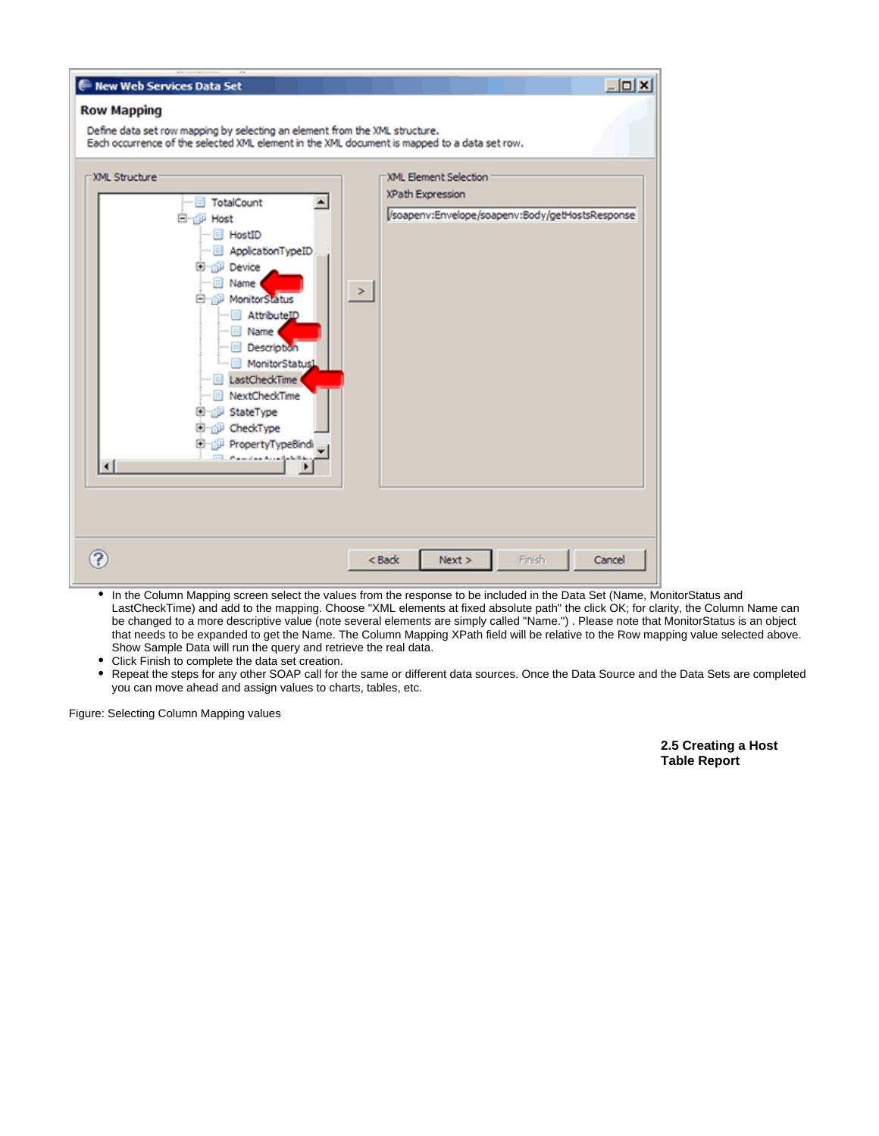

- In the Column Mapping screen select the values from the response to be included in the Data Set (Name, MonitorStatus and LastCheckTime) and add to the mapping. Choose "XML elements at fixed absolute path" the click OK; for clarity, the Column Name can be changed to a more descriptive value (note several elements are simply called "Name.") . Please note that MonitorStatus is an object that needs to be expanded to get the Name. The Column Mapping XPath field will be relative to the Row mapping value selected above. Show Sample Data will run the query and retrieve the real data.
- Click Finish to complete the data set creation.
- Repeat the steps for any other SOAP call for the same or different data sources. Once the Data Source and the Data Sets are completed you can move ahead and assign values to charts, tables, etc.

Figure: Selecting Column Mapping values

**2.5 Creating a Host Table Report**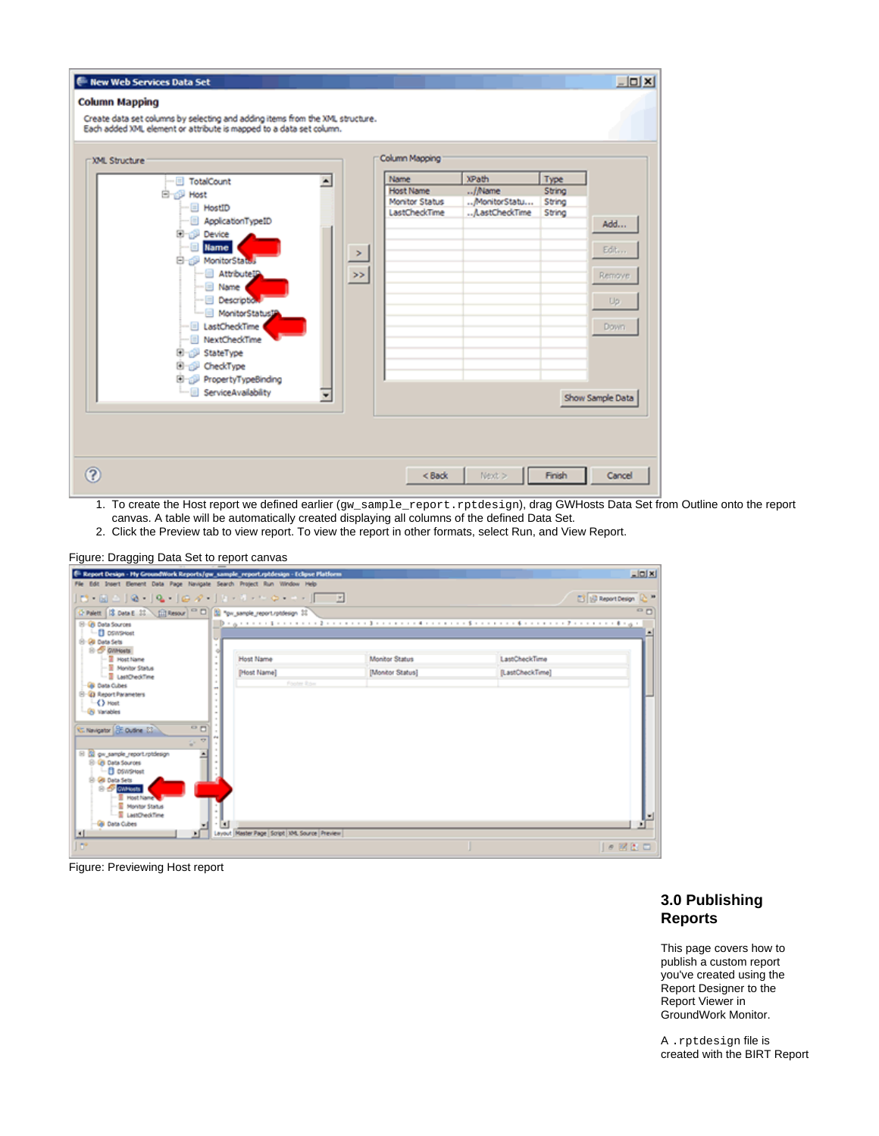

- 1. To create the Host report we defined earlier (gw\_sample\_report.rptdesign), drag GWHosts Data Set from Outline onto the report canvas. A table will be automatically created displaying all columns of the defined Data Set.
- 2. Click the Preview tab to view report. To view the report in other formats, select Run, and View Report.



| E Report Design - Hy GroundWork Reports/gw_sample_report.rptdesign - Eclipse Platform     |                                                    |                                                                                                                                                                                                                                                                                              |                 | L[0 X]                                       |
|-------------------------------------------------------------------------------------------|----------------------------------------------------|----------------------------------------------------------------------------------------------------------------------------------------------------------------------------------------------------------------------------------------------------------------------------------------------|-----------------|----------------------------------------------|
| File Edit Insert Element Data Page Navigate Search Project Run Window Help                |                                                    |                                                                                                                                                                                                                                                                                              |                 |                                              |
|                                                                                           |                                                    |                                                                                                                                                                                                                                                                                              |                 | <b>ET ID Report Design</b><br>Q <sub>n</sub> |
| C Palett   13 Data E 11   C Resour   <sup>co</sup> 0   52 "px_sanple_report.rphdesign 11" |                                                    |                                                                                                                                                                                                                                                                                              |                 |                                              |
| El GB Data Sources<br>-fill oswswet                                                       |                                                    | $\Box$ ) = $\Box$ = $\Box$ = $\Box$ = $\Box$ = $\Box$ = $\Box$ = $\Box$ = $\Box$ = $\Box$ = $\Box$ = $\Box$ = $\Box$ = $\Box$ = $\Box$ = $\Box$ = $\Box$ = $\Box$ = $\Box$ = $\Box$ = $\Box$ = $\Box$ = $\Box$ = $\Box$ = $\Box$ = $\Box$ = $\Box$ = $\Box$ = $\Box$ = $\Box$ = $\Box$ = $\$ |                 |                                              |
| 8-80 Data Sets<br><b>B</b> OWNests                                                        |                                                    |                                                                                                                                                                                                                                                                                              |                 |                                              |
| $ \overline{2}$ Host Name                                                                 | <b>Host Name</b>                                   | Monitor Status                                                                                                                                                                                                                                                                               | LastCheckTime   |                                              |
| - Il Manitor Status<br>- Il LastChediTime                                                 | <b>Plost Namel</b>                                 | [Monitor Status]                                                                                                                                                                                                                                                                             | [LastCheckTime] |                                              |
| <b>GB</b> Data Cubes                                                                      | Footer Row                                         |                                                                                                                                                                                                                                                                                              |                 |                                              |
| 8-93 Report Parameters                                                                    |                                                    |                                                                                                                                                                                                                                                                                              |                 |                                              |
| $\rightarrow$ Most<br>-GI Variables                                                       |                                                    |                                                                                                                                                                                                                                                                                              |                 |                                              |
|                                                                                           |                                                    |                                                                                                                                                                                                                                                                                              |                 |                                              |
| $^{\circ}$<br>C. Navigator <b>SE Outline 23</b>                                           |                                                    |                                                                                                                                                                                                                                                                                              |                 |                                              |
| ÷.                                                                                        |                                                    |                                                                                                                                                                                                                                                                                              |                 |                                              |
| El giu sangle report rotolesign<br>۰                                                      |                                                    |                                                                                                                                                                                                                                                                                              |                 |                                              |
| <b>El Gri Data Sources</b><br><b>D</b> DSWSHost                                           |                                                    |                                                                                                                                                                                                                                                                                              |                 |                                              |
| 8 GBI Data Sets                                                                           |                                                    |                                                                                                                                                                                                                                                                                              |                 |                                              |
| <b>B</b> CWNAIN<br>- Il Host Name                                                         |                                                    |                                                                                                                                                                                                                                                                                              |                 |                                              |
| - E Monitor Status                                                                        |                                                    |                                                                                                                                                                                                                                                                                              |                 |                                              |
| -E LastOred/Time                                                                          |                                                    |                                                                                                                                                                                                                                                                                              |                 |                                              |
| <b>GB</b> Data Cubes<br>⊡                                                                 | H<br>Leyout Master Page Script 104, Source Preview |                                                                                                                                                                                                                                                                                              |                 |                                              |
| l ar                                                                                      |                                                    |                                                                                                                                                                                                                                                                                              |                 | ●図注口                                         |
|                                                                                           |                                                    |                                                                                                                                                                                                                                                                                              |                 |                                              |

Figure: Previewing Host report

# **3.0 Publishing Reports**

This page covers how to publish a custom report you've created using the Report Designer to the Report Viewer in GroundWork Monitor.

A .rptdesign file is created with the BIRT Report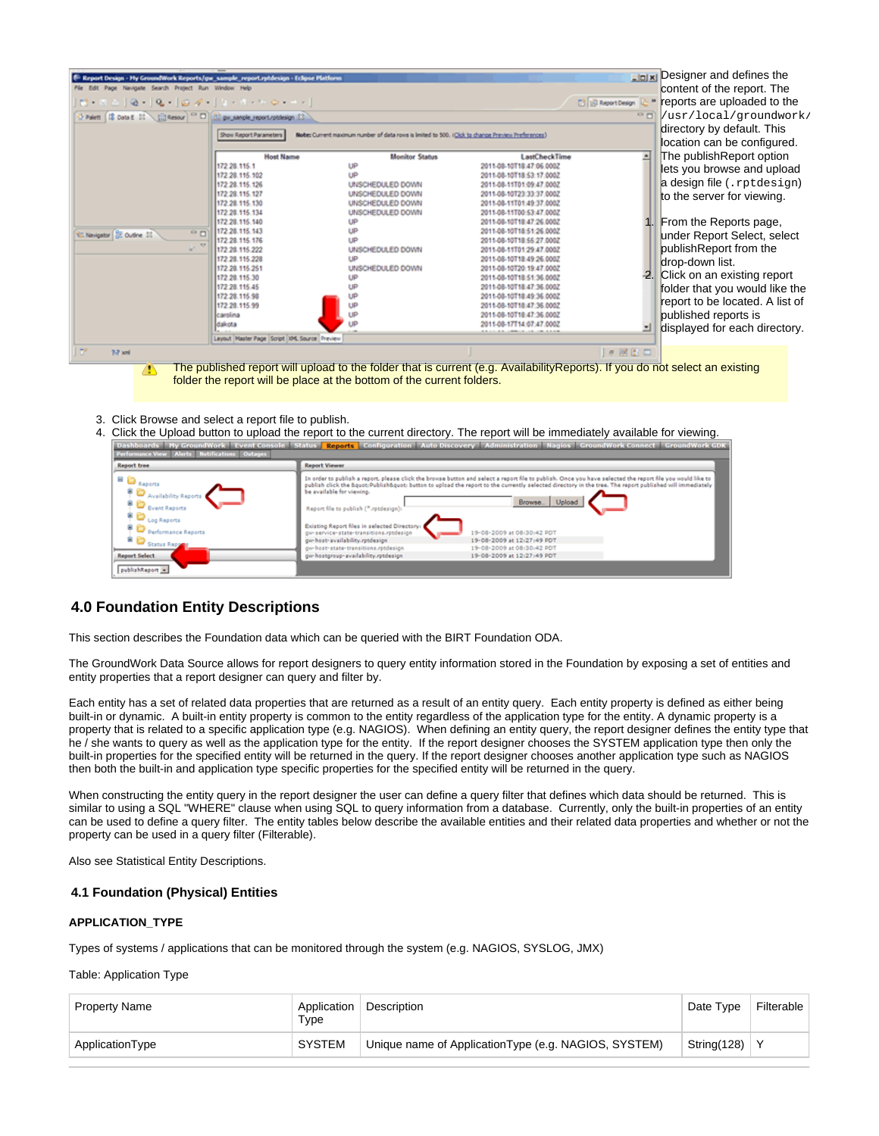| E Report Design - My GroundWork Reports/ow_sample_report.rptdesign - Eclipse Platform |                                               |                                                                                                    |                                                                                                                              |                 | Designer and defines the                            |
|---------------------------------------------------------------------------------------|-----------------------------------------------|----------------------------------------------------------------------------------------------------|------------------------------------------------------------------------------------------------------------------------------|-----------------|-----------------------------------------------------|
| File Edit Page Navigate Search Project Run Window Help                                |                                               |                                                                                                    |                                                                                                                              |                 | content of the report. The                          |
|                                                                                       |                                               |                                                                                                    |                                                                                                                              |                 | <b>Ed Secondary 2 * reports are uploaded to the</b> |
| O Palett   18 Data E ST   Citesour   C D   C px_sample_report/ptdesign 53             |                                               |                                                                                                    |                                                                                                                              | $\circ$ n       | //usr/local/groundwork/                             |
|                                                                                       | Show Report Parameters                        | Note: Current maximum number of data rows is limited to 500. (Click to change Preview Preferences) |                                                                                                                              |                 | directory by default. This                          |
|                                                                                       |                                               |                                                                                                    |                                                                                                                              |                 | location can be configured.                         |
|                                                                                       | <b>Host Name</b>                              | <b>Monitor Status</b>                                                                              | <b>LastCheckTime</b>                                                                                                         |                 | The publishReport option                            |
|                                                                                       | 172 28 115 1                                  | UP                                                                                                 | 2011-08-10T18:47:06.0002                                                                                                     |                 |                                                     |
|                                                                                       | 172 28.115.102                                | LID                                                                                                | 2011-08-10T18:53:17.000Z                                                                                                     |                 | lets you browse and upload                          |
|                                                                                       | 172 28 115 126                                | <b>UNSCHEDULED DOWN</b>                                                                            | 2011-08-11T01:09:47.0002                                                                                                     |                 | a design file (.rptdesign)                          |
|                                                                                       | 172 28.115.127                                | UNSCHEDULED DOWN                                                                                   | 2011-08-10T23:33:37.0002                                                                                                     |                 |                                                     |
|                                                                                       | 172 28.115.130                                | UNSCHEDULED DOWN                                                                                   | 2011-08-11T01:49:37.0002                                                                                                     |                 | to the server for viewing.                          |
|                                                                                       | 172 28.115.134                                | UNSCHEDULED DOWN                                                                                   | 2011-08-11T00 53:47.000Z                                                                                                     |                 |                                                     |
|                                                                                       | 172 28.115.140                                | UP                                                                                                 | 2011-08-10T18:47:26.0002                                                                                                     |                 | 1. From the Reports page,                           |
| $\circ$<br><sup>2</sup> C Navigator (22 Outline 12)                                   | 172.28.115.143                                | LID                                                                                                | 2011-08-10T18:51:26.000Z                                                                                                     |                 |                                                     |
|                                                                                       | 172 28.115.176                                | ŧΡ                                                                                                 | 2011-08-10T18 55 27.0002                                                                                                     |                 | under Report Select, select                         |
| w.                                                                                    | 172 28 115 222                                | UNSCHEDULED DOWN                                                                                   | 2011-08-11T01-29:47.0002                                                                                                     |                 | publishReport from the                              |
|                                                                                       | 172 28 115 228                                | UP                                                                                                 | 2011-08-10T18 49 26 0002                                                                                                     |                 | drop-down list.                                     |
|                                                                                       | 172 28 115 251                                | UNSCHEDULED DOWN                                                                                   | 2011-08-10T20:19:47.000Z                                                                                                     |                 |                                                     |
|                                                                                       | 172 28.115.30                                 | UP                                                                                                 | 2011-08-10T18:51:36.000Z                                                                                                     |                 | 2. Click on an existing report                      |
|                                                                                       | 172 28 115 45                                 |                                                                                                    | 2011-08-10T18:47:36.000Z                                                                                                     |                 | folder that you would like the                      |
|                                                                                       | 172.28.115.98                                 |                                                                                                    | 2011-08-10T18:49:36.000Z                                                                                                     |                 | report to be located. A list of                     |
|                                                                                       | 172 28.115 99                                 | LΙΡ                                                                                                | 2011-08-10T18:47:36.0002                                                                                                     |                 |                                                     |
|                                                                                       | carolina                                      | UP                                                                                                 | 2011-08-10T18:47:36.000Z                                                                                                     |                 | published reports is                                |
|                                                                                       | dakota                                        | UP                                                                                                 | 2011-08-17T14:07:47.0002<br>**********************                                                                           |                 | displayed for each directory.                       |
|                                                                                       | Layout Master Page Script 104, Source Preview |                                                                                                    |                                                                                                                              |                 |                                                     |
| $\mathbb{D}^p$<br>7-7 xml                                                             |                                               |                                                                                                    |                                                                                                                              | $e$ $B$ $C$ $D$ |                                                     |
|                                                                                       |                                               |                                                                                                    | The published report will uplead to the folder that is current (e.g. Avoilability Penerto). If you do not solect an evicting |                 |                                                     |

- The published report will upload to the folder that is current (e.g. AvailabilityReports). If you do not select an existing ♨ folder the report will be place at the bottom of the current folders.
- 3. Click Browse and select a report file to publish.
- 4. Click the Upload button to upload the report to the current directory. The report will be immediately available for viewing.

| <b>Performance View Alerts Notifications Outages</b>                                                                                                                                                                                                                                                                                                                                                                                                                                        |                                                                                                                                                                                                                                                                                                                                                                                                                                                                                                                                                                                                                                                                                                                                              |  |  |  |  |
|---------------------------------------------------------------------------------------------------------------------------------------------------------------------------------------------------------------------------------------------------------------------------------------------------------------------------------------------------------------------------------------------------------------------------------------------------------------------------------------------|----------------------------------------------------------------------------------------------------------------------------------------------------------------------------------------------------------------------------------------------------------------------------------------------------------------------------------------------------------------------------------------------------------------------------------------------------------------------------------------------------------------------------------------------------------------------------------------------------------------------------------------------------------------------------------------------------------------------------------------------|--|--|--|--|
| <b>Report tree</b>                                                                                                                                                                                                                                                                                                                                                                                                                                                                          | <b>Report Viewer</b>                                                                                                                                                                                                                                                                                                                                                                                                                                                                                                                                                                                                                                                                                                                         |  |  |  |  |
| Reports<br>- €<br>Availability Reports<br>$\mathbb{R}$ Event Reports<br>$\frac{1}{2}$ $\frac{1}{2}$ $\frac{1}{2}$ $\frac{1}{2}$ $\frac{1}{2}$ $\frac{1}{2}$ $\frac{1}{2}$ $\frac{1}{2}$ $\frac{1}{2}$ $\frac{1}{2}$ $\frac{1}{2}$ $\frac{1}{2}$ $\frac{1}{2}$ $\frac{1}{2}$ $\frac{1}{2}$ $\frac{1}{2}$ $\frac{1}{2}$ $\frac{1}{2}$ $\frac{1}{2}$ $\frac{1}{2}$ $\frac{1}{2}$ $\frac{1}{2}$<br>Ė.<br>Performance Reports<br><b>M</b> Status Report<br><b>Report Select</b><br>publishReport | In order to publish a report, please click the browse button and select a report file to publish. Once you have selected the report file you would like to<br>publish click the ": Publish": button to upload the report to the currently selected directory in the tree. The report published will immediately<br>be available for viewing.<br>Browse.<br>Upload<br>Report file to publish (".rptdesign):<br>Existing Report files in selected Directory:<br>gw-service-state-transitions.rptdesign<br>19-08-2009 at 08:30:42 PDT<br>gw-host-availability.rptdesign<br>19-08-2009 at 12:27:49 PDT<br>ow-host-state-transitions.rptdesign<br>19-08-2009 at 08:30:42 PDT<br>gw-hostgroup-availability.rptdesign<br>19-08-2009 at 12:27:49 PDT |  |  |  |  |

# **4.0 Foundation Entity Descriptions**

This section describes the Foundation data which can be queried with the BIRT Foundation ODA.

The GroundWork Data Source allows for report designers to query entity information stored in the Foundation by exposing a set of entities and entity properties that a report designer can query and filter by.

Each entity has a set of related data properties that are returned as a result of an entity query. Each entity property is defined as either being built-in or dynamic. A built-in entity property is common to the entity regardless of the application type for the entity. A dynamic property is a property that is related to a specific application type (e.g. NAGIOS). When defining an entity query, the report designer defines the entity type that he / she wants to query as well as the application type for the entity. If the report designer chooses the SYSTEM application type then only the built-in properties for the specified entity will be returned in the query. If the report designer chooses another application type such as NAGIOS then both the built-in and application type specific properties for the specified entity will be returned in the query.

When constructing the entity query in the report designer the user can define a query filter that defines which data should be returned. This is similar to using a SQL "WHERE" clause when using SQL to query information from a database. Currently, only the built-in properties of an entity can be used to define a query filter. The entity tables below describe the available entities and their related data properties and whether or not the property can be used in a query filter (Filterable).

Also see Statistical Entity Descriptions.

#### **4.1 Foundation (Physical) Entities**

#### **APPLICATION\_TYPE**

Types of systems / applications that can be monitored through the system (e.g. NAGIOS, SYSLOG, JMX)

Table: Application Type

| Property Name   | Application<br>Туре | Description                                           | Date Type   | Filterable |
|-----------------|---------------------|-------------------------------------------------------|-------------|------------|
| ApplicationType | SYSTEM              | Unique name of Application Type (e.g. NAGIOS, SYSTEM) | String(128) |            |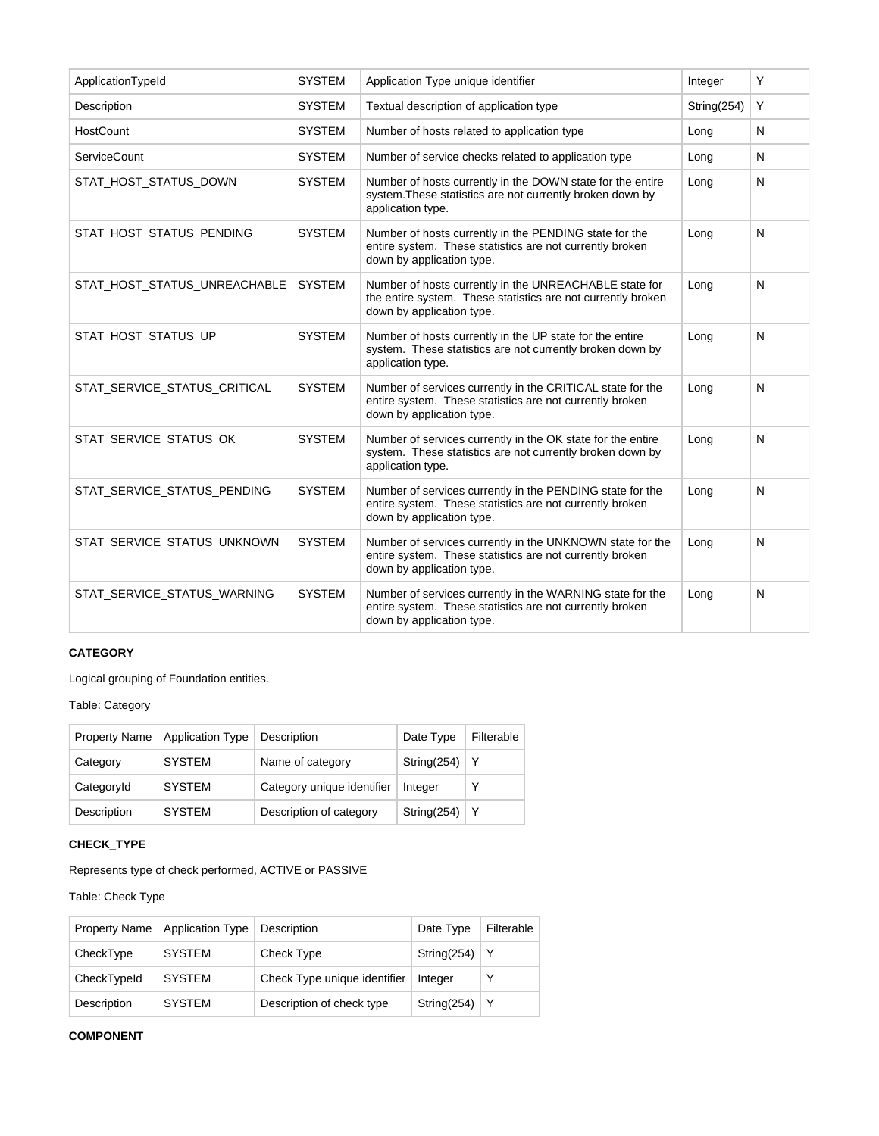| ApplicationTypeId            | <b>SYSTEM</b> | Application Type unique identifier                                                                                                                  | Integer     | Y            |
|------------------------------|---------------|-----------------------------------------------------------------------------------------------------------------------------------------------------|-------------|--------------|
| Description                  | <b>SYSTEM</b> | Textual description of application type                                                                                                             | String(254) | Y            |
| HostCount                    | <b>SYSTEM</b> | Number of hosts related to application type                                                                                                         | Long        | N            |
| <b>ServiceCount</b>          | <b>SYSTEM</b> | Number of service checks related to application type                                                                                                | Long        | N            |
| STAT_HOST_STATUS_DOWN        | <b>SYSTEM</b> | Number of hosts currently in the DOWN state for the entire<br>system. These statistics are not currently broken down by<br>application type.        | Long        | $\mathsf{N}$ |
| STAT HOST STATUS PENDING     | <b>SYSTEM</b> | Number of hosts currently in the PENDING state for the<br>entire system. These statistics are not currently broken<br>down by application type.     | Long        | N            |
| STAT_HOST_STATUS_UNREACHABLE | <b>SYSTEM</b> | Number of hosts currently in the UNREACHABLE state for<br>the entire system. These statistics are not currently broken<br>down by application type. | Long        | N            |
| STAT_HOST_STATUS_UP          | <b>SYSTEM</b> | Number of hosts currently in the UP state for the entire<br>system. These statistics are not currently broken down by<br>application type.          | Long        | N            |
| STAT_SERVICE_STATUS_CRITICAL | <b>SYSTEM</b> | Number of services currently in the CRITICAL state for the<br>entire system. These statistics are not currently broken<br>down by application type. | Long        | N            |
| STAT_SERVICE_STATUS_OK       | <b>SYSTEM</b> | Number of services currently in the OK state for the entire<br>system. These statistics are not currently broken down by<br>application type.       | Long        | N            |
| STAT_SERVICE_STATUS_PENDING  | <b>SYSTEM</b> | Number of services currently in the PENDING state for the<br>entire system. These statistics are not currently broken<br>down by application type.  | Long        | N            |
| STAT_SERVICE_STATUS_UNKNOWN  | <b>SYSTEM</b> | Number of services currently in the UNKNOWN state for the<br>entire system. These statistics are not currently broken<br>down by application type.  | Long        | N            |
| STAT_SERVICE_STATUS_WARNING  | <b>SYSTEM</b> | Number of services currently in the WARNING state for the<br>entire system. These statistics are not currently broken<br>down by application type.  | Long        | N            |

# **CATEGORY**

Logical grouping of Foundation entities.

Table: Category

| <b>Property Name</b> | <b>Application Type</b> | Description                | Date Type   | Filterable |
|----------------------|-------------------------|----------------------------|-------------|------------|
| Category             | <b>SYSTEM</b>           | Name of category           | String(254) | Y          |
| CategoryId           | <b>SYSTEM</b>           | Category unique identifier | Integer     |            |
| Description          | <b>SYSTEM</b>           | Description of category    | String(254) | Y          |

# **CHECK\_TYPE**

Represents type of check performed, ACTIVE or PASSIVE

Table: Check Type

| <b>Property Name</b> | <b>Application Type</b> | Description                  | Date Type   | Filterable |
|----------------------|-------------------------|------------------------------|-------------|------------|
| CheckType            | <b>SYSTEM</b>           | <b>Check Type</b>            | String(254) | Υ          |
| CheckTypeId          | <b>SYSTEM</b>           | Check Type unique identifier | Integer     |            |
| Description          | <b>SYSTEM</b>           | Description of check type    | String(254) | Υ          |

# **COMPONENT**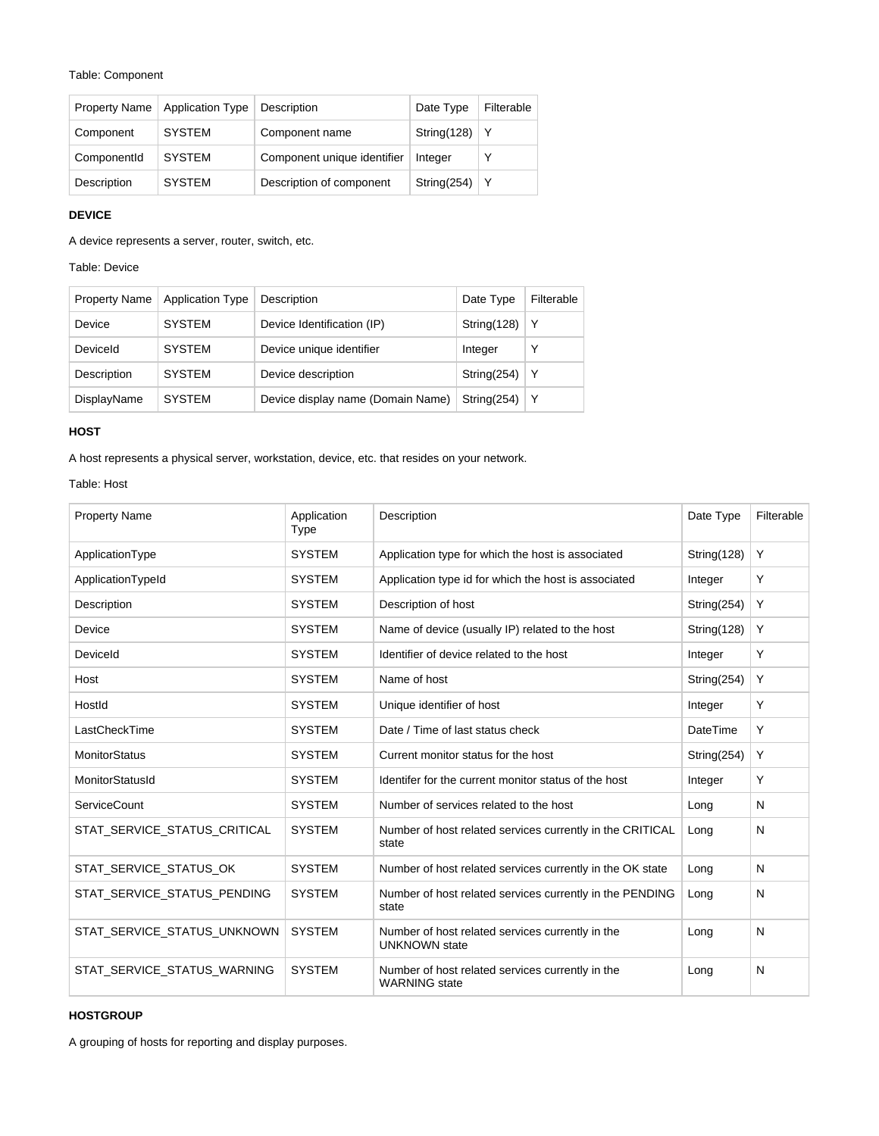#### Table: Component

| <b>Property Name</b> | <b>Application Type</b> | Description                 | Date Type   | Filterable |
|----------------------|-------------------------|-----------------------------|-------------|------------|
| Component            | <b>SYSTEM</b>           | Component name              | String(128) | Υ          |
| ComponentId          | <b>SYSTEM</b>           | Component unique identifier | Integer     | ٧          |
| Description          | <b>SYSTEM</b>           | Description of component    | String(254) | Y          |

# **DEVICE**

A device represents a server, router, switch, etc.

Table: Device

| <b>Property Name</b> | <b>Application Type</b> | Description                       | Date Type      | Filterable |
|----------------------|-------------------------|-----------------------------------|----------------|------------|
| Device               | <b>SYSTEM</b>           | Device Identification (IP)        | String $(128)$ | Y          |
| Deviceld             | <b>SYSTEM</b>           | Device unique identifier          | Integer        | Υ          |
| Description          | <b>SYSTEM</b>           | Device description                | String(254)    | Y          |
| DisplayName          | <b>SYSTEM</b>           | Device display name (Domain Name) | String(254)    | Y          |

#### **HOST**

A host represents a physical server, workstation, device, etc. that resides on your network.

Table: Host

| <b>Property Name</b>         | Application<br><b>Type</b> | Description                                                              | Date Type   | Filterable |
|------------------------------|----------------------------|--------------------------------------------------------------------------|-------------|------------|
| ApplicationType              | <b>SYSTEM</b>              | Application type for which the host is associated                        | String(128) | Y          |
| ApplicationTypeId            | <b>SYSTEM</b>              | Application type id for which the host is associated                     | Integer     | Υ          |
| Description                  | <b>SYSTEM</b>              | Description of host                                                      | String(254) | Y          |
| Device                       | <b>SYSTEM</b>              | Name of device (usually IP) related to the host                          | String(128) | Υ          |
| DeviceId                     | <b>SYSTEM</b>              | Identifier of device related to the host                                 | Integer     | Y          |
| Host                         | <b>SYSTEM</b>              | Name of host                                                             | String(254) | Y          |
| Hostld                       | <b>SYSTEM</b>              | Unique identifier of host                                                | Integer     | Y          |
| LastCheckTime                | <b>SYSTEM</b>              | Date / Time of last status check                                         | DateTime    | Y          |
| <b>MonitorStatus</b>         | <b>SYSTEM</b>              | Current monitor status for the host                                      | String(254) | Y          |
| MonitorStatusId              | <b>SYSTEM</b>              | Identifer for the current monitor status of the host                     | Integer     | Y          |
| <b>ServiceCount</b>          | <b>SYSTEM</b>              | Number of services related to the host                                   | Long        | N          |
| STAT SERVICE STATUS CRITICAL | <b>SYSTEM</b>              | Number of host related services currently in the CRITICAL<br>state       | Long        | N          |
| STAT SERVICE STATUS OK       | <b>SYSTEM</b>              | Number of host related services currently in the OK state                | Long        | N          |
| STAT SERVICE STATUS PENDING  | <b>SYSTEM</b>              | Number of host related services currently in the PENDING<br>state        | Long        | N          |
| STAT SERVICE STATUS UNKNOWN  | <b>SYSTEM</b>              | Number of host related services currently in the<br><b>UNKNOWN</b> state | Long        | N          |
| STAT_SERVICE_STATUS_WARNING  | <b>SYSTEM</b>              | Number of host related services currently in the<br><b>WARNING</b> state | Long        | N          |

# **HOSTGROUP**

A grouping of hosts for reporting and display purposes.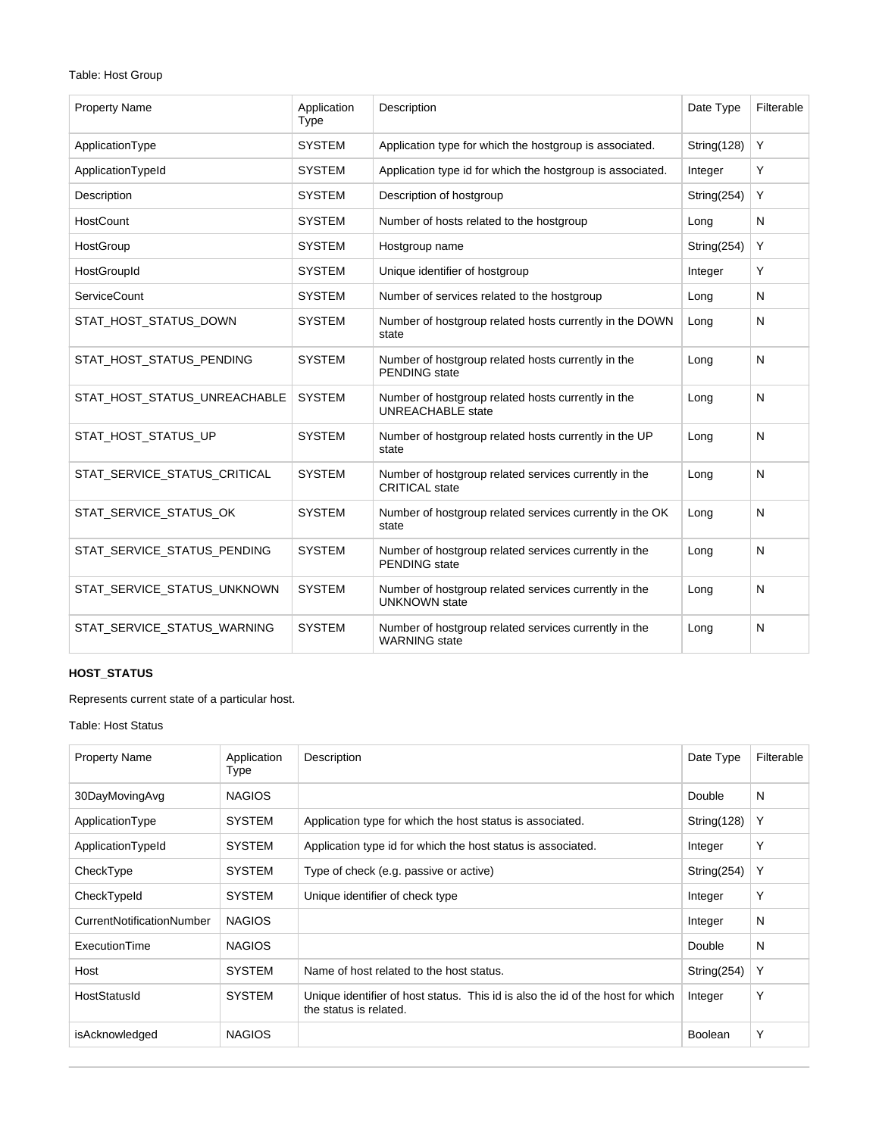# Table: Host Group

| <b>Property Name</b>         | Application<br>Type | Description                                                                    | Date Type   | Filterable |
|------------------------------|---------------------|--------------------------------------------------------------------------------|-------------|------------|
| ApplicationType              | <b>SYSTEM</b>       | Application type for which the hostgroup is associated.                        | String(128) | Y          |
| ApplicationTypeId            | <b>SYSTEM</b>       | Application type id for which the hostgroup is associated.                     | Integer     | Y          |
| Description                  | <b>SYSTEM</b>       | Description of hostgroup                                                       | String(254) | Y          |
| HostCount                    | <b>SYSTEM</b>       | Number of hosts related to the hostgroup                                       | Long        | N          |
| HostGroup                    | <b>SYSTEM</b>       | Hostgroup name                                                                 | String(254) | Y          |
| HostGroupId                  | <b>SYSTEM</b>       | Unique identifier of hostgroup                                                 | Integer     | Y          |
| <b>ServiceCount</b>          | <b>SYSTEM</b>       | Number of services related to the hostgroup                                    | Long        | N          |
| STAT_HOST_STATUS_DOWN        | <b>SYSTEM</b>       | Number of hostgroup related hosts currently in the DOWN<br>state               | Long        | N          |
| STAT HOST STATUS PENDING     | <b>SYSTEM</b>       | Number of hostgroup related hosts currently in the<br><b>PENDING</b> state     | Long        | N          |
| STAT_HOST_STATUS_UNREACHABLE | <b>SYSTEM</b>       | Number of hostgroup related hosts currently in the<br><b>UNREACHABLE</b> state | Long        | N          |
| STAT HOST STATUS UP          | <b>SYSTEM</b>       | Number of hostgroup related hosts currently in the UP<br>state                 | Long        | N          |
| STAT SERVICE STATUS CRITICAL | <b>SYSTEM</b>       | Number of hostgroup related services currently in the<br><b>CRITICAL</b> state | Long        | N          |
| STAT_SERVICE_STATUS_OK       | <b>SYSTEM</b>       | Number of hostgroup related services currently in the OK<br>state              | Long        | N          |
| STAT SERVICE STATUS PENDING  | <b>SYSTEM</b>       | Number of hostgroup related services currently in the<br><b>PENDING</b> state  | Long        | N          |
| STAT_SERVICE_STATUS_UNKNOWN  | <b>SYSTEM</b>       | Number of hostgroup related services currently in the<br><b>UNKNOWN</b> state  | Long        | N          |
| STAT_SERVICE_STATUS_WARNING  | <b>SYSTEM</b>       | Number of hostgroup related services currently in the<br><b>WARNING</b> state  | Long        | N          |

# **HOST\_STATUS**

Represents current state of a particular host.

# Table: Host Status

| <b>Property Name</b>      | Application<br>Type | Description                                                                                              | Date Type      | Filterable |
|---------------------------|---------------------|----------------------------------------------------------------------------------------------------------|----------------|------------|
| 30DayMovingAvg            | <b>NAGIOS</b>       |                                                                                                          | Double         | N          |
| ApplicationType           | <b>SYSTEM</b>       | Application type for which the host status is associated.                                                | String(128)    | Υ          |
| ApplicationTypeId         | <b>SYSTEM</b>       | Application type id for which the host status is associated.                                             | Integer        | Υ          |
| CheckType                 | <b>SYSTEM</b>       | Type of check (e.g. passive or active)                                                                   | String(254)    | Υ          |
| CheckTypeId               | <b>SYSTEM</b>       | Unique identifier of check type                                                                          | Integer        | Υ          |
| CurrentNotificationNumber | <b>NAGIOS</b>       |                                                                                                          | Integer        | N          |
| ExecutionTime             | <b>NAGIOS</b>       |                                                                                                          | Double         | N          |
| Host                      | <b>SYSTEM</b>       | Name of host related to the host status.                                                                 | String(254)    | Υ          |
| HostStatusId              | <b>SYSTEM</b>       | Unique identifier of host status. This id is also the id of the host for which<br>the status is related. | Integer        | Υ          |
| isAcknowledged            | <b>NAGIOS</b>       |                                                                                                          | <b>Boolean</b> | Υ          |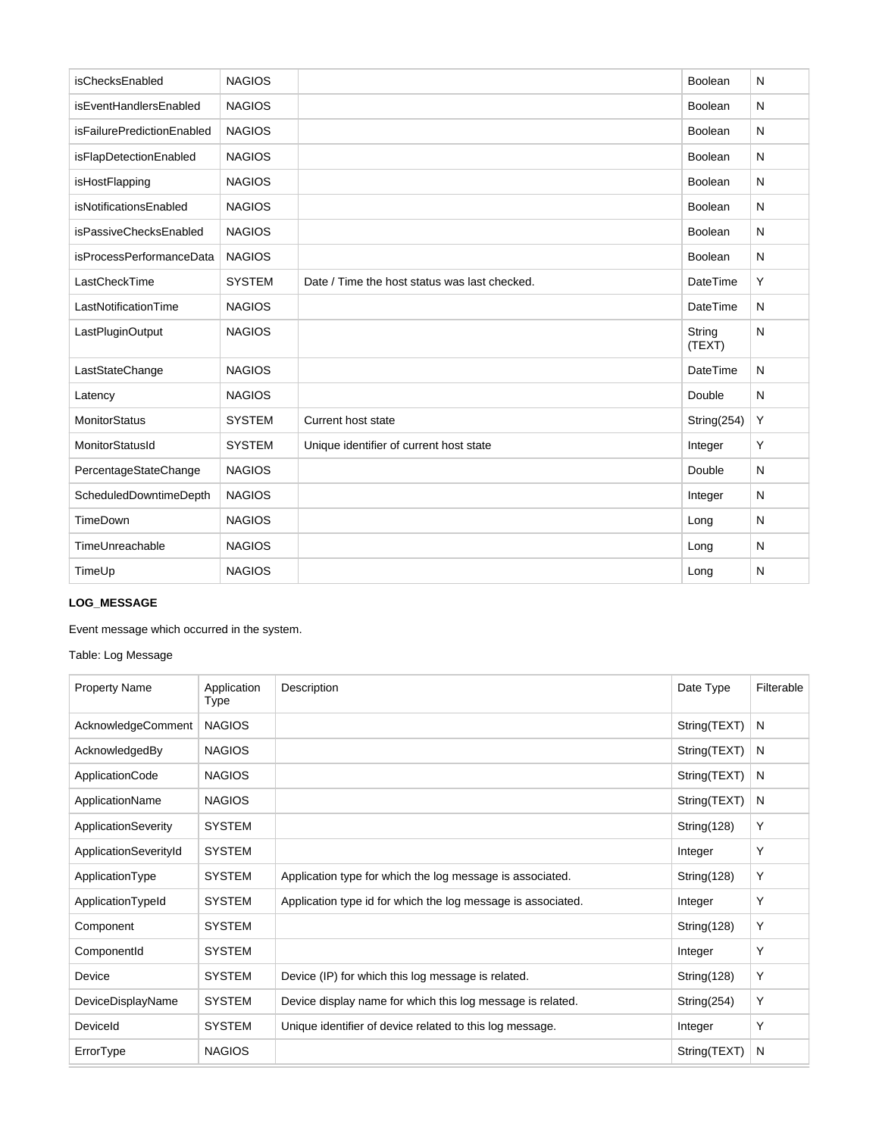| isChecksEnabled            | <b>NAGIOS</b> |                                               | Boolean          | N |
|----------------------------|---------------|-----------------------------------------------|------------------|---|
| isEventHandlersEnabled     | <b>NAGIOS</b> |                                               | <b>Boolean</b>   | N |
| isFailurePredictionEnabled | <b>NAGIOS</b> |                                               | Boolean          | N |
| isFlapDetectionEnabled     | <b>NAGIOS</b> |                                               | <b>Boolean</b>   | N |
| isHostFlapping             | <b>NAGIOS</b> |                                               | Boolean          | N |
| isNotificationsEnabled     | <b>NAGIOS</b> |                                               | <b>Boolean</b>   | N |
| isPassiveChecksEnabled     | <b>NAGIOS</b> |                                               | Boolean          | N |
| isProcessPerformanceData   | <b>NAGIOS</b> |                                               | <b>Boolean</b>   | N |
| LastCheckTime              | <b>SYSTEM</b> | Date / Time the host status was last checked. | DateTime         | Y |
| LastNotificationTime       | <b>NAGIOS</b> |                                               | DateTime         | N |
| LastPluginOutput           | <b>NAGIOS</b> |                                               | String<br>(TEXT) | N |
| LastStateChange            | <b>NAGIOS</b> |                                               | DateTime         | N |
| Latency                    | <b>NAGIOS</b> |                                               | Double           | N |
| <b>MonitorStatus</b>       | <b>SYSTEM</b> | Current host state                            | String(254)      | Υ |
| MonitorStatusId            | <b>SYSTEM</b> | Unique identifier of current host state       | Integer          | Y |
| PercentageStateChange      | <b>NAGIOS</b> |                                               | Double           | N |
| ScheduledDowntimeDepth     | <b>NAGIOS</b> |                                               | Integer          | N |
| TimeDown                   | <b>NAGIOS</b> |                                               | Long             | N |
| TimeUnreachable            | <b>NAGIOS</b> |                                               | Long             | N |
| TimeUp                     | <b>NAGIOS</b> |                                               | Long             | N |

# **LOG\_MESSAGE**

Event message which occurred in the system.

Table: Log Message

| <b>Property Name</b>  | Application<br>Type | Description                                                  | Date Type    | Filterable |
|-----------------------|---------------------|--------------------------------------------------------------|--------------|------------|
| AcknowledgeComment    | <b>NAGIOS</b>       |                                                              | String(TEXT) | N          |
| AcknowledgedBy        | <b>NAGIOS</b>       |                                                              | String(TEXT) | N          |
| ApplicationCode       | <b>NAGIOS</b>       |                                                              | String(TEXT) | N          |
| ApplicationName       | <b>NAGIOS</b>       |                                                              | String(TEXT) | N          |
| ApplicationSeverity   | <b>SYSTEM</b>       |                                                              | String(128)  | Υ          |
| ApplicationSeverityId | <b>SYSTEM</b>       |                                                              | Integer      | Υ          |
| ApplicationType       | <b>SYSTEM</b>       | Application type for which the log message is associated.    | String(128)  | Υ          |
| ApplicationTypeId     | <b>SYSTEM</b>       | Application type id for which the log message is associated. | Integer      | Υ          |
| Component             | <b>SYSTEM</b>       |                                                              | String(128)  | Y          |
| ComponentId           | <b>SYSTEM</b>       |                                                              | Integer      | Υ          |
| Device                | <b>SYSTEM</b>       | Device (IP) for which this log message is related.           | String(128)  | Υ          |
| DeviceDisplayName     | <b>SYSTEM</b>       | Device display name for which this log message is related.   | String(254)  | Υ          |
| Deviceld              | <b>SYSTEM</b>       | Unique identifier of device related to this log message.     | Integer      | Υ          |
| ErrorType             | <b>NAGIOS</b>       |                                                              | String(TEXT) | N          |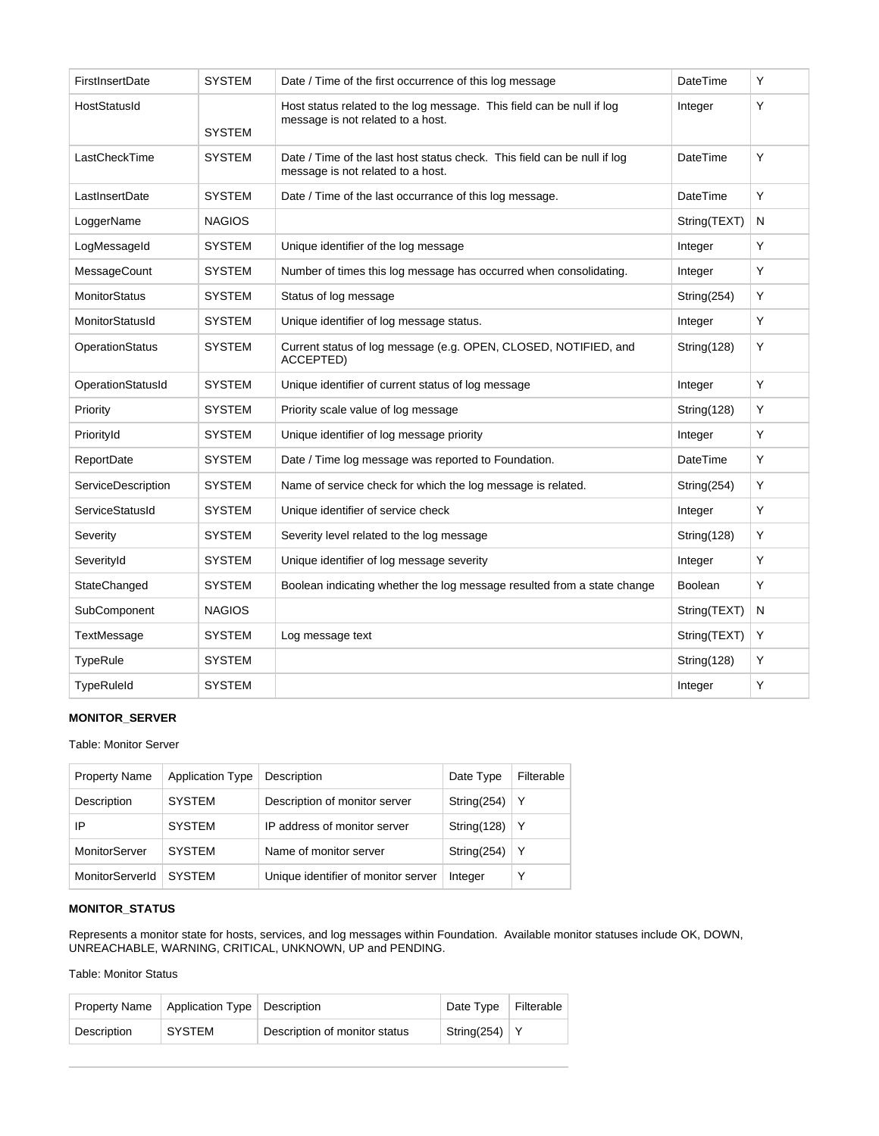| FirstInsertDate        | <b>SYSTEM</b> | Date / Time of the first occurrence of this log message                                                       | <b>DateTime</b> | Y |
|------------------------|---------------|---------------------------------------------------------------------------------------------------------------|-----------------|---|
| HostStatusId           | <b>SYSTEM</b> | Host status related to the log message. This field can be null if log<br>message is not related to a host.    | Integer         | Y |
| LastCheckTime          | <b>SYSTEM</b> | Date / Time of the last host status check. This field can be null if log<br>message is not related to a host. | DateTime        | Y |
| LastInsertDate         | <b>SYSTEM</b> | Date / Time of the last occurrance of this log message.                                                       | <b>DateTime</b> | Y |
| LoggerName             | <b>NAGIOS</b> |                                                                                                               | String(TEXT)    | N |
| LogMessageId           | <b>SYSTEM</b> | Unique identifier of the log message                                                                          | Integer         | Y |
| MessageCount           | <b>SYSTEM</b> | Number of times this log message has occurred when consolidating.                                             | Integer         | Y |
| <b>MonitorStatus</b>   | <b>SYSTEM</b> | Status of log message                                                                                         | String(254)     | Y |
| MonitorStatusId        | <b>SYSTEM</b> | Unique identifier of log message status.                                                                      | Integer         | Y |
| <b>OperationStatus</b> | <b>SYSTEM</b> | Current status of log message (e.g. OPEN, CLOSED, NOTIFIED, and<br>ACCEPTED)                                  | String(128)     | Y |
| OperationStatusId      | <b>SYSTEM</b> | Unique identifier of current status of log message                                                            | Integer         | Υ |
| Priority               | <b>SYSTEM</b> | Priority scale value of log message                                                                           | String(128)     | Y |
| PriorityId             | <b>SYSTEM</b> | Unique identifier of log message priority                                                                     | Integer         | Y |
| ReportDate             | <b>SYSTEM</b> | Date / Time log message was reported to Foundation.                                                           | <b>DateTime</b> | Υ |
| ServiceDescription     | <b>SYSTEM</b> | Name of service check for which the log message is related.                                                   | String(254)     | Υ |
| <b>ServiceStatusId</b> | <b>SYSTEM</b> | Unique identifier of service check                                                                            | Integer         | Y |
| Severity               | <b>SYSTEM</b> | Severity level related to the log message                                                                     | String(128)     | Y |
| SeverityId             | <b>SYSTEM</b> | Unique identifier of log message severity                                                                     | Integer         | Y |
| StateChanged           | <b>SYSTEM</b> | Boolean indicating whether the log message resulted from a state change                                       | <b>Boolean</b>  | Y |
| SubComponent           | <b>NAGIOS</b> |                                                                                                               | String(TEXT)    | N |
| <b>TextMessage</b>     | <b>SYSTEM</b> | Log message text                                                                                              | String(TEXT)    | Y |
| <b>TypeRule</b>        | <b>SYSTEM</b> |                                                                                                               | String(128)     | Υ |
| <b>TypeRuleId</b>      | <b>SYSTEM</b> |                                                                                                               | Integer         | Y |

# **MONITOR\_SERVER**

## Table: Monitor Server

| <b>Property Name</b> | <b>Application Type</b> | Description                         | Date Type   | Filterable |
|----------------------|-------------------------|-------------------------------------|-------------|------------|
| Description          | <b>SYSTEM</b>           | Description of monitor server       | String(254) | Υ          |
| IP                   | <b>SYSTEM</b>           | IP address of monitor server        | String(128) | Y          |
| MonitorServer        | <b>SYSTEM</b>           | Name of monitor server              | String(254) | Υ          |
| MonitorServerId      | <b>SYSTEM</b>           | Unique identifier of monitor server | Integer     | v          |

# **MONITOR\_STATUS**

Represents a monitor state for hosts, services, and log messages within Foundation. Available monitor statuses include OK, DOWN, UNREACHABLE, WARNING, CRITICAL, UNKNOWN, UP and PENDING.

# Table: Monitor Status

| <b>Property Name</b> | Application Type Description |                               | Date Type       | Filterable |
|----------------------|------------------------------|-------------------------------|-----------------|------------|
| Description          | <b>SYSTEM</b>                | Description of monitor status | String(254)   Y |            |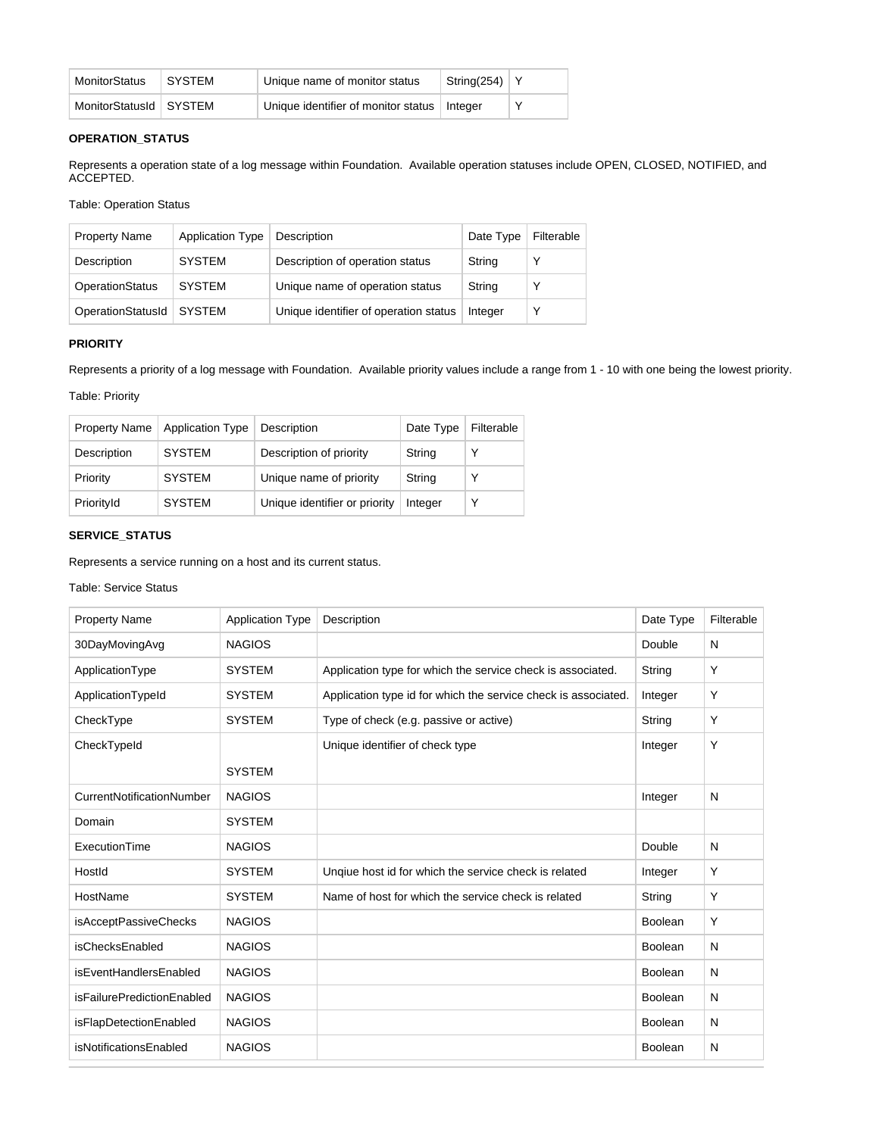| MonitorStatus            | <b>SYSTEM</b> | Unique name of monitor status                 | String(254)   Y |  |
|--------------------------|---------------|-----------------------------------------------|-----------------|--|
| MonitorStatusId   SYSTEM |               | Unique identifier of monitor status   Integer |                 |  |

# **OPERATION\_STATUS**

Represents a operation state of a log message within Foundation. Available operation statuses include OPEN, CLOSED, NOTIFIED, and ACCEPTED.

Table: Operation Status

| <b>Property Name</b>   | Application Type | Description                           | Date Type | Filterable   |
|------------------------|------------------|---------------------------------------|-----------|--------------|
| Description            | <b>SYSTEM</b>    | Description of operation status       | String    |              |
| <b>OperationStatus</b> | <b>SYSTEM</b>    | Unique name of operation status       | String    |              |
| OperationStatusId      | <b>SYSTEM</b>    | Unique identifier of operation status | Integer   | $\checkmark$ |

# **PRIORITY**

Represents a priority of a log message with Foundation. Available priority values include a range from 1 - 10 with one being the lowest priority.

Table: Priority

| <b>Property Name</b> | <b>Application Type</b> | Description                   | Date Type | Filterable  |
|----------------------|-------------------------|-------------------------------|-----------|-------------|
| Description          | <b>SYSTEM</b>           | Description of priority       | String    | $\check{ }$ |
| Priority             | <b>SYSTEM</b>           | Unique name of priority       | String    | $\check{ }$ |
| PriorityId           | <b>SYSTEM</b>           | Unique identifier or priority | Integer   | ٧           |

# **SERVICE\_STATUS**

Represents a service running on a host and its current status.

#### Table: Service Status

| <b>Property Name</b>       | <b>Application Type</b> | Description                                                    | Date Type      | Filterable |
|----------------------------|-------------------------|----------------------------------------------------------------|----------------|------------|
| 30DayMovingAvg             | <b>NAGIOS</b>           |                                                                | Double         | N          |
| ApplicationType            | <b>SYSTEM</b>           | Application type for which the service check is associated.    | String         | Y          |
| ApplicationTypeId          | <b>SYSTEM</b>           | Application type id for which the service check is associated. | Integer        | Y          |
| CheckType                  | <b>SYSTEM</b>           | Type of check (e.g. passive or active)                         | String         | Y          |
| CheckTypeId                |                         | Unique identifier of check type                                | Integer        | Υ          |
|                            | <b>SYSTEM</b>           |                                                                |                |            |
| CurrentNotificationNumber  | <b>NAGIOS</b>           |                                                                | Integer        | N          |
| Domain                     | <b>SYSTEM</b>           |                                                                |                |            |
| ExecutionTime              | <b>NAGIOS</b>           |                                                                | Double         | N          |
| Hostld                     | <b>SYSTEM</b>           | Unqiue host id for which the service check is related          | Integer        | Y          |
| HostName                   | <b>SYSTEM</b>           | Name of host for which the service check is related            | String         | Y          |
| isAcceptPassiveChecks      | <b>NAGIOS</b>           |                                                                | Boolean        | Y          |
| isChecksEnabled            | <b>NAGIOS</b>           |                                                                | Boolean        | N          |
| isEventHandlersEnabled     | <b>NAGIOS</b>           |                                                                | <b>Boolean</b> | N          |
| isFailurePredictionEnabled | <b>NAGIOS</b>           |                                                                | Boolean        | N          |
| isFlapDetectionEnabled     | <b>NAGIOS</b>           |                                                                | <b>Boolean</b> | N          |
| isNotificationsEnabled     | <b>NAGIOS</b>           |                                                                | <b>Boolean</b> | N          |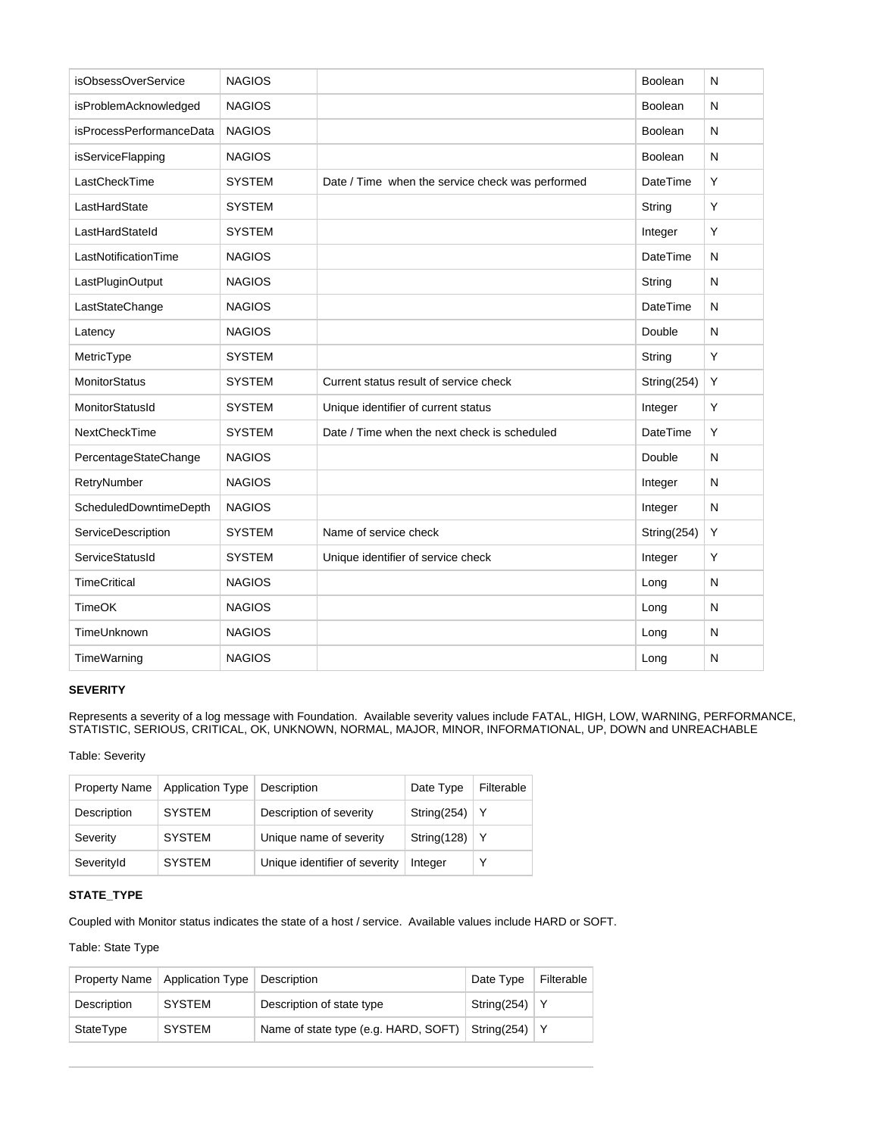| isObsessOverService      | <b>NAGIOS</b> |                                                  | Boolean         | N            |
|--------------------------|---------------|--------------------------------------------------|-----------------|--------------|
| isProblemAcknowledged    | <b>NAGIOS</b> |                                                  | Boolean         | N            |
| isProcessPerformanceData | <b>NAGIOS</b> |                                                  | <b>Boolean</b>  | N            |
| isServiceFlapping        | <b>NAGIOS</b> |                                                  | <b>Boolean</b>  | N            |
| LastCheckTime            | <b>SYSTEM</b> | Date / Time when the service check was performed | <b>DateTime</b> | Y            |
| LastHardState            | <b>SYSTEM</b> |                                                  | String          | Y            |
| LastHardStateId          | <b>SYSTEM</b> |                                                  | Integer         | Y            |
| LastNotificationTime     | <b>NAGIOS</b> |                                                  | DateTime        | N            |
| LastPluginOutput         | <b>NAGIOS</b> |                                                  | String          | N            |
| LastStateChange          | <b>NAGIOS</b> |                                                  | <b>DateTime</b> | N            |
| Latency                  | <b>NAGIOS</b> |                                                  | Double          | N            |
| MetricType               | <b>SYSTEM</b> |                                                  | String          | Y            |
| <b>MonitorStatus</b>     | <b>SYSTEM</b> | Current status result of service check           | String(254)     | Υ            |
| MonitorStatusId          | <b>SYSTEM</b> | Unique identifier of current status              | Integer         | Y            |
| NextCheckTime            | <b>SYSTEM</b> | Date / Time when the next check is scheduled     | <b>DateTime</b> | Y            |
| PercentageStateChange    | <b>NAGIOS</b> |                                                  | Double          | N            |
| RetryNumber              | <b>NAGIOS</b> |                                                  | Integer         | N            |
| ScheduledDowntimeDepth   | <b>NAGIOS</b> |                                                  | Integer         | N            |
| ServiceDescription       | <b>SYSTEM</b> | Name of service check                            | String(254)     | Y            |
| ServiceStatusId          | <b>SYSTEM</b> | Unique identifier of service check               | Integer         | Y            |
| <b>TimeCritical</b>      | <b>NAGIOS</b> |                                                  | Long            | $\mathsf{N}$ |
| <b>TimeOK</b>            | <b>NAGIOS</b> |                                                  | Long            | N            |
| TimeUnknown              | <b>NAGIOS</b> |                                                  | Long            | $\mathsf{N}$ |
| TimeWarning              | <b>NAGIOS</b> |                                                  | Long            | N            |

# **SEVERITY**

Represents a severity of a log message with Foundation. Available severity values include FATAL, HIGH, LOW, WARNING, PERFORMANCE, STATISTIC, SERIOUS, CRITICAL, OK, UNKNOWN, NORMAL, MAJOR, MINOR, INFORMATIONAL, UP, DOWN and UNREACHABLE

Table: Severity

| <b>Property Name</b> | <b>Application Type</b> | Description                   | Date Type   | Filterable |
|----------------------|-------------------------|-------------------------------|-------------|------------|
| Description          | <b>SYSTEM</b>           | Description of severity       | String(254) | l Y        |
| Severity             | <b>SYSTEM</b>           | Unique name of severity       | String(128) | ∣Y         |
| SeverityId           | <b>SYSTEM</b>           | Unique identifier of severity | Integer     |            |

# **STATE\_TYPE**

Coupled with Monitor status indicates the state of a host / service. Available values include HARD or SOFT.

Table: State Type

|             | Property Name   Application Type | Description                          | Date Type   | Filterable |
|-------------|----------------------------------|--------------------------------------|-------------|------------|
| Description | <b>SYSTEM</b>                    | Description of state type            | String(254) |            |
| StateType   | <b>SYSTEM</b>                    | Name of state type (e.g. HARD, SOFT) | String(254) |            |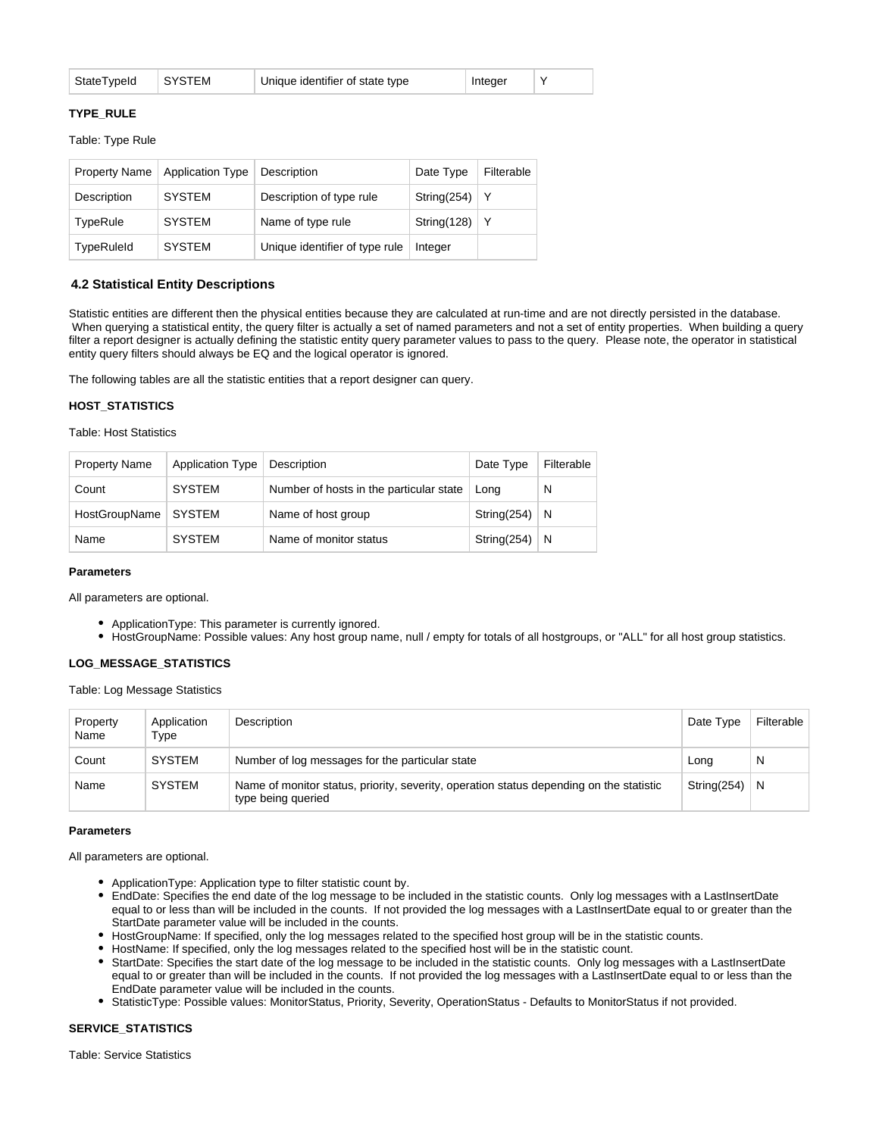| StateTypeId | SYSTEM | Unique identifier of state type | Integer |  |
|-------------|--------|---------------------------------|---------|--|
|             |        |                                 |         |  |

#### **TYPE\_RULE**

Table: Type Rule

| <b>Property Name</b> | <b>Application Type</b> | Description                    | Date Type   | Filterable |
|----------------------|-------------------------|--------------------------------|-------------|------------|
| Description          | <b>SYSTEM</b>           | Description of type rule       | String(254) | Y          |
| TypeRule             | <b>SYSTEM</b>           | Name of type rule              | String(128) | Υ          |
| TypeRuleId           | <b>SYSTEM</b>           | Unique identifier of type rule | Integer     |            |

#### **4.2 Statistical Entity Descriptions**

Statistic entities are different then the physical entities because they are calculated at run-time and are not directly persisted in the database. When querying a statistical entity, the query filter is actually a set of named parameters and not a set of entity properties. When building a query filter a report designer is actually defining the statistic entity query parameter values to pass to the query. Please note, the operator in statistical entity query filters should always be EQ and the logical operator is ignored.

The following tables are all the statistic entities that a report designer can query.

#### **HOST\_STATISTICS**

Table: Host Statistics

| <b>Property Name</b> | <b>Application Type</b> | Description                             | Date Type   | Filterable |
|----------------------|-------------------------|-----------------------------------------|-------------|------------|
| Count                | <b>SYSTEM</b>           | Number of hosts in the particular state | Lona        | N          |
| HostGroupName        | <b>SYSTEM</b>           | Name of host group                      | String(254) | N          |
| Name                 | <b>SYSTEM</b>           | Name of monitor status                  | String(254) | N          |

#### **Parameters**

All parameters are optional.

- ApplicationType: This parameter is currently ignored.
- HostGroupName: Possible values: Any host group name, null / empty for totals of all hostgroups, or "ALL" for all host group statistics.

## **LOG\_MESSAGE\_STATISTICS**

Table: Log Message Statistics

| Property<br>Name | Application<br>Type | Description                                                                                                   | Date Type   | Filterable |
|------------------|---------------------|---------------------------------------------------------------------------------------------------------------|-------------|------------|
| Count            | <b>SYSTEM</b>       | Number of log messages for the particular state                                                               | Long        | N          |
| Name             | <b>SYSTEM</b>       | Name of monitor status, priority, severity, operation status depending on the statistic<br>type being queried | String(254) | N          |

#### **Parameters**

All parameters are optional.

- ApplicationType: Application type to filter statistic count by.
- EndDate: Specifies the end date of the log message to be included in the statistic counts. Only log messages with a LastInsertDate equal to or less than will be included in the counts. If not provided the log messages with a LastInsertDate equal to or greater than the StartDate parameter value will be included in the counts.
- HostGroupName: If specified, only the log messages related to the specified host group will be in the statistic counts.
- HostName: If specified, only the log messages related to the specified host will be in the statistic count.
- StartDate: Specifies the start date of the log message to be included in the statistic counts. Only log messages with a LastInsertDate equal to or greater than will be included in the counts. If not provided the log messages with a LastInsertDate equal to or less than the EndDate parameter value will be included in the counts.
- StatisticType: Possible values: MonitorStatus, Priority, Severity, OperationStatus Defaults to MonitorStatus if not provided.

#### **SERVICE\_STATISTICS**

Table: Service Statistics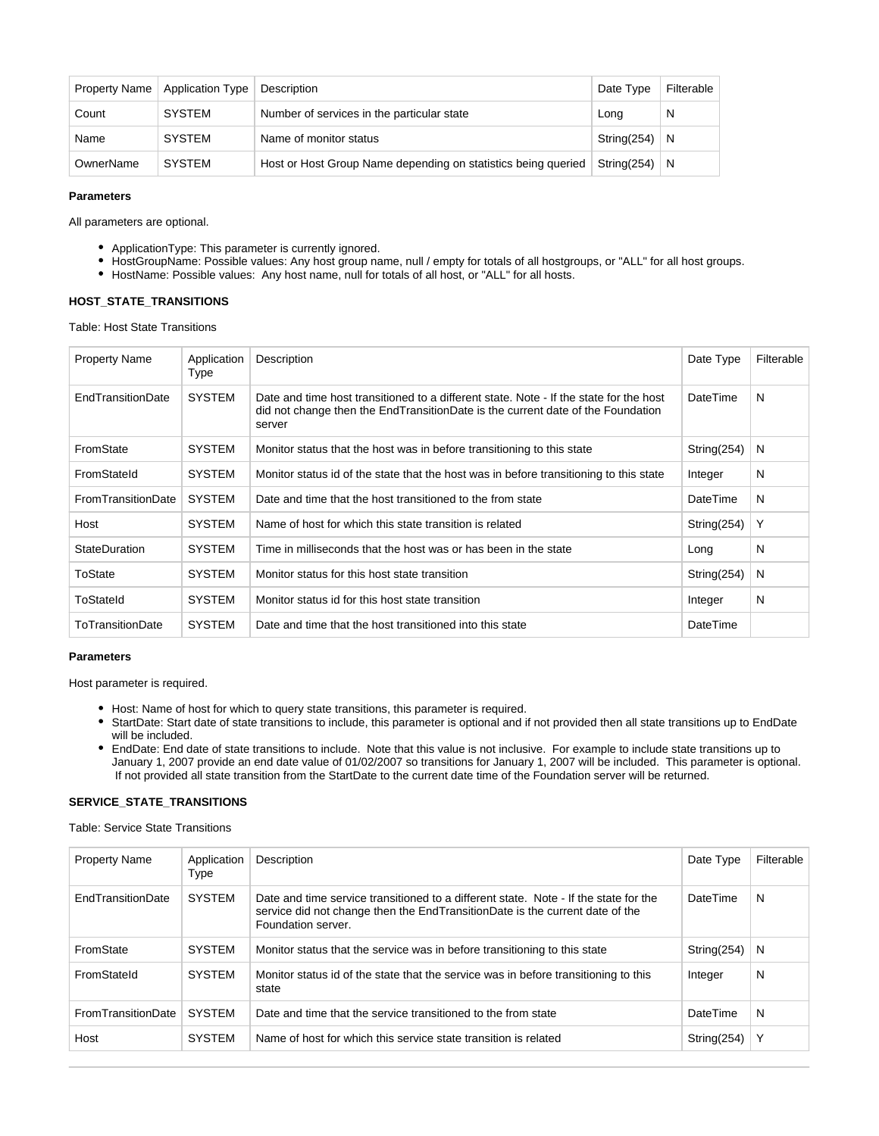| Property Name | Application Type | Description                                                   | Date Type   | Filterable |
|---------------|------------------|---------------------------------------------------------------|-------------|------------|
| Count         | SYSTEM           | Number of services in the particular state                    | Long        | N          |
| Name          | SYSTEM           | Name of monitor status                                        | String(254) | N          |
| OwnerName     | <b>SYSTEM</b>    | Host or Host Group Name depending on statistics being queried | String(254) | N          |

#### **Parameters**

All parameters are optional.

- ApplicationType: This parameter is currently ignored.
- HostGroupName: Possible values: Any host group name, null / empty for totals of all hostgroups, or "ALL" for all host groups.
- HostName: Possible values: Any host name, null for totals of all host, or "ALL" for all hosts.

## **HOST\_STATE\_TRANSITIONS**

Table: Host State Transitions

| <b>Property Name</b>     | Application<br>Type | Description                                                                                                                                                                         | Date Type   | Filterable   |
|--------------------------|---------------------|-------------------------------------------------------------------------------------------------------------------------------------------------------------------------------------|-------------|--------------|
| <b>EndTransitionDate</b> | <b>SYSTEM</b>       | Date and time host transitioned to a different state. Note - If the state for the host<br>did not change then the EndTransitionDate is the current date of the Foundation<br>server | DateTime    | <sub>N</sub> |
| FromState                | <b>SYSTEM</b>       | Monitor status that the host was in before transitioning to this state                                                                                                              | String(254) | N            |
| FromStateId              | <b>SYSTEM</b>       | Monitor status id of the state that the host was in before transitioning to this state                                                                                              | Integer     | N            |
| FromTransitionDate       | <b>SYSTEM</b>       | Date and time that the host transitioned to the from state                                                                                                                          | DateTime    | N            |
| Host                     | <b>SYSTEM</b>       | Name of host for which this state transition is related                                                                                                                             | String(254) | Y            |
| StateDuration            | <b>SYSTEM</b>       | Time in milliseconds that the host was or has been in the state                                                                                                                     | Long        | N            |
| ToState                  | <b>SYSTEM</b>       | Monitor status for this host state transition                                                                                                                                       | String(254) | N            |
| ToStateld                | <b>SYSTEM</b>       | Monitor status id for this host state transition                                                                                                                                    | Integer     | N            |
| <b>ToTransitionDate</b>  | <b>SYSTEM</b>       | Date and time that the host transitioned into this state                                                                                                                            | DateTime    |              |

## **Parameters**

Host parameter is required.

- Host: Name of host for which to query state transitions, this parameter is required.
- StartDate: Start date of state transitions to include, this parameter is optional and if not provided then all state transitions up to EndDate will be included.
- EndDate: End date of state transitions to include. Note that this value is not inclusive. For example to include state transitions up to January 1, 2007 provide an end date value of 01/02/2007 so transitions for January 1, 2007 will be included. This parameter is optional. If not provided all state transition from the StartDate to the current date time of the Foundation server will be returned.

#### **SERVICE\_STATE\_TRANSITIONS**

Table: Service State Transitions

| <b>Property Name</b> | Application<br>Type | <b>Description</b>                                                                                                                                                                         | Date Type   | Filterable |
|----------------------|---------------------|--------------------------------------------------------------------------------------------------------------------------------------------------------------------------------------------|-------------|------------|
| EndTransitionDate    | <b>SYSTEM</b>       | Date and time service transitioned to a different state. Note - If the state for the<br>service did not change then the EndTransitionDate is the current date of the<br>Foundation server. | DateTime    | N          |
| FromState            | <b>SYSTEM</b>       | Monitor status that the service was in before transitioning to this state                                                                                                                  | String(254) | N          |
| FromStateId          | <b>SYSTEM</b>       | Monitor status id of the state that the service was in before transitioning to this<br>state                                                                                               | Integer     | N          |
| FromTransitionDate   | <b>SYSTEM</b>       | Date and time that the service transitioned to the from state                                                                                                                              | DateTime    | N          |
| Host                 | <b>SYSTEM</b>       | Name of host for which this service state transition is related                                                                                                                            | String(254) | Y          |